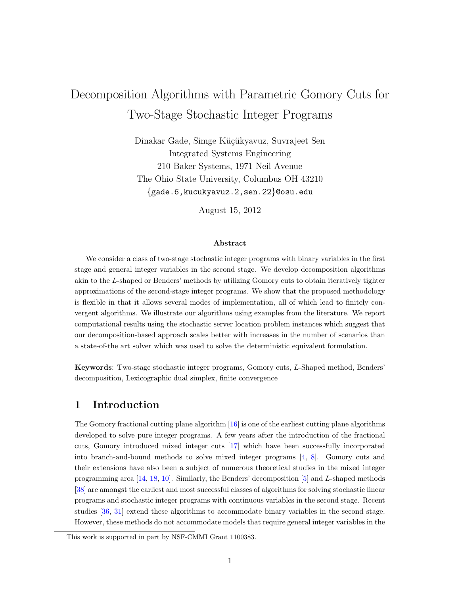# Decomposition Algorithms with Parametric Gomory Cuts for Two-Stage Stochastic Integer Programs

Dinakar Gade, Simge Küçükyavuz, Suvrajeet Sen Integrated Systems Engineering 210 Baker Systems, 1971 Neil Avenue The Ohio State University, Columbus OH 43210 {gade.6,kucukyavuz.2,sen.22}@osu.edu

August 15, 2012

#### Abstract

We consider a class of two-stage stochastic integer programs with binary variables in the first stage and general integer variables in the second stage. We develop decomposition algorithms akin to the L-shaped or Benders' methods by utilizing Gomory cuts to obtain iteratively tighter approximations of the second-stage integer programs. We show that the proposed methodology is flexible in that it allows several modes of implementation, all of which lead to finitely convergent algorithms. We illustrate our algorithms using examples from the literature. We report computational results using the stochastic server location problem instances which suggest that our decomposition-based approach scales better with increases in the number of scenarios than a state-of-the art solver which was used to solve the deterministic equivalent formulation.

Keywords: Two-stage stochastic integer programs, Gomory cuts, L-Shaped method, Benders' decomposition, Lexicographic dual simplex, finite convergence

# 1 Introduction

The Gomory fractional cutting plane algorithm [\[16\]](#page-23-0) is one of the earliest cutting plane algorithms developed to solve pure integer programs. A few years after the introduction of the fractional cuts, Gomory introduced mixed integer cuts [\[17\]](#page-23-1) which have been successfully incorporated into branch-and-bound methods to solve mixed integer programs [\[4,](#page-22-0) [8\]](#page-23-2). Gomory cuts and their extensions have also been a subject of numerous theoretical studies in the mixed integer programming area [\[14,](#page-23-3) [18,](#page-23-4) [10\]](#page-23-5). Similarly, the Benders' decomposition [\[5\]](#page-22-1) and L-shaped methods [\[38\]](#page-25-0) are amongst the earliest and most successful classes of algorithms for solving stochastic linear programs and stochastic integer programs with continuous variables in the second stage. Recent studies [\[36,](#page-24-0) [31\]](#page-24-1) extend these algorithms to accommodate binary variables in the second stage. However, these methods do not accommodate models that require general integer variables in the

This work is supported in part by NSF-CMMI Grant 1100383.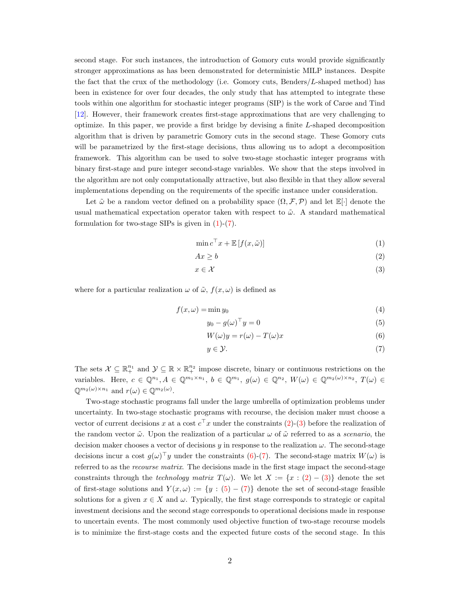second stage. For such instances, the introduction of Gomory cuts would provide significantly stronger approximations as has been demonstrated for deterministic MILP instances. Despite the fact that the crux of the methodology (i.e. Gomory cuts,  $B$ enders/ $L$ -shaped method) has been in existence for over four decades, the only study that has attempted to integrate these tools within one algorithm for stochastic integer programs (SIP) is the work of Carøe and Tind [\[12\]](#page-23-6). However, their framework creates first-stage approximations that are very challenging to optimize. In this paper, we provide a first bridge by devising a finite L-shaped decomposition algorithm that is driven by parametric Gomory cuts in the second stage. These Gomory cuts will be parametrized by the first-stage decisions, thus allowing us to adopt a decomposition framework. This algorithm can be used to solve two-stage stochastic integer programs with binary first-stage and pure integer second-stage variables. We show that the steps involved in the algorithm are not only computationally attractive, but also flexible in that they allow several implementations depending on the requirements of the specific instance under consideration.

Let  $\tilde{\omega}$  be a random vector defined on a probability space  $(\Omega, \mathcal{F}, \mathcal{P})$  and let  $\mathbb{E}[\cdot]$  denote the usual mathematical expectation operator taken with respect to  $\tilde{\omega}$ . A standard mathematical formulation for two-stage SIPs is given in  $(1)-(7)$  $(1)-(7)$ .

<span id="page-1-3"></span><span id="page-1-2"></span><span id="page-1-0"></span>
$$
\min c^{\top} x + \mathbb{E}\left[f(x,\tilde{\omega})\right] \tag{1}
$$

$$
Ax \ge b \tag{2}
$$

 $x \in \mathcal{X}$  (3)

where for a particular realization  $\omega$  of  $\tilde{\omega}$ ,  $f(x, \omega)$  is defined as

$$
f(x,\omega) = \min y_0 \tag{4}
$$

$$
y_0 - g(\omega)^\top y = 0 \tag{5}
$$

<span id="page-1-5"></span>
$$
W(\omega)y = r(\omega) - T(\omega)x\tag{6}
$$

<span id="page-1-4"></span><span id="page-1-1"></span>
$$
y \in \mathcal{Y}.\tag{7}
$$

The sets  $\mathcal{X} \subseteq \mathbb{R}_{+}^{n_1}$  and  $\mathcal{Y} \subseteq \mathbb{R} \times \mathbb{R}_{+}^{n_2}$  impose discrete, binary or continuous restrictions on the variables. Here,  $c \in \mathbb{Q}^{n_1}, A \in \mathbb{Q}^{m_1 \times n_1}, b \in \mathbb{Q}^{m_1}, g(\omega) \in \mathbb{Q}^{n_2}, W(\omega) \in \mathbb{Q}^{m_2(\omega) \times n_2}, T(\omega) \in$  $\mathbb{Q}^{m_2(\omega)\times n_1}$  and  $r(\omega) \in \mathbb{Q}^{m_2(\omega)}$ .

Two-stage stochastic programs fall under the large umbrella of optimization problems under uncertainty. In two-stage stochastic programs with recourse, the decision maker must choose a vector of current decisions x at a cost  $c^{\top}x$  under the constraints  $(2)-(3)$  $(2)-(3)$  before the realization of the random vector  $\tilde{\omega}$ . Upon the realization of a particular  $\omega$  of  $\tilde{\omega}$  referred to as a *scenario*, the decision maker chooses a vector of decisions y in response to the realization  $\omega$ . The second-stage decisions incur a cost  $g(\omega)^\top y$  under the constraints [\(6\)](#page-1-4)-[\(7\)](#page-1-1). The second-stage matrix  $W(\omega)$  is referred to as the recourse matrix. The decisions made in the first stage impact the second-stage constraints through the technology matrix  $T(\omega)$ . We let  $X := \{x : (2) - (3)\}\$  $X := \{x : (2) - (3)\}\$  $X := \{x : (2) - (3)\}\$  $X := \{x : (2) - (3)\}\$  $X := \{x : (2) - (3)\}\$  denote the set of first-stage solutions and  $Y(x,\omega) := \{y : (5) - (7)\}\$  $Y(x,\omega) := \{y : (5) - (7)\}\$  $Y(x,\omega) := \{y : (5) - (7)\}\$  $Y(x,\omega) := \{y : (5) - (7)\}\$  $Y(x,\omega) := \{y : (5) - (7)\}\$  denote the set of second-stage feasible solutions for a given  $x \in X$  and  $\omega$ . Typically, the first stage corresponds to strategic or capital investment decisions and the second stage corresponds to operational decisions made in response to uncertain events. The most commonly used objective function of two-stage recourse models is to minimize the first-stage costs and the expected future costs of the second stage. In this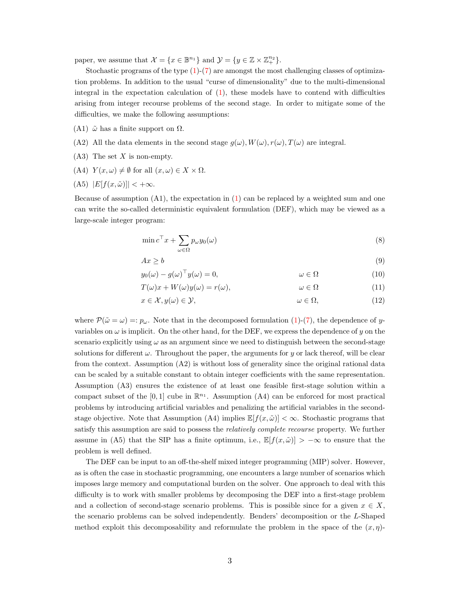paper, we assume that  $\mathcal{X} = \{x \in \mathbb{B}^{n_1}\}\$ and  $\mathcal{Y} = \{y \in \mathbb{Z} \times \mathbb{Z}_{+}^{n_2}\}.$ 

Stochastic programs of the type  $(1)-(7)$  $(1)-(7)$  are amongst the most challenging classes of optimization problems. In addition to the usual "curse of dimensionality" due to the multi-dimensional integral in the expectation calculation of  $(1)$ , these models have to contend with difficulties arising from integer recourse problems of the second stage. In order to mitigate some of the difficulties, we make the following assumptions:

- (A1)  $\tilde{\omega}$  has a finite support on  $\Omega$ .
- (A2) All the data elements in the second stage  $g(\omega)$ ,  $W(\omega)$ ,  $r(\omega)$ ,  $T(\omega)$  are integral.
- $(A3)$  The set X is non-empty.
- (A4)  $Y(x, \omega) \neq \emptyset$  for all  $(x, \omega) \in X \times \Omega$ .
- $(A5)$   $|E[f(x, \tilde{\omega})]| < +\infty$ .

Because of assumption  $(A1)$ , the expectation in  $(1)$  can be replaced by a weighted sum and one can write the so-called deterministic equivalent formulation (DEF), which may be viewed as a large-scale integer program:

$$
\min c^{\top} x + \sum_{\omega \in \Omega} p_{\omega} y_0(\omega) \tag{8}
$$

$$
Ax \ge b \tag{9}
$$

$$
y_0(\omega) - g(\omega)^\top y(\omega) = 0, \qquad \omega \in \Omega \tag{10}
$$

$$
T(\omega)x + W(\omega)y(\omega) = r(\omega), \qquad \omega \in \Omega \tag{11}
$$

$$
x \in \mathcal{X}, y(\omega) \in \mathcal{Y}, \qquad \omega \in \Omega,\tag{12}
$$

where  $\mathcal{P}(\tilde{\omega} = \omega) =: p_{\omega}$ . Note that in the decomposed formulation [\(1\)](#page-1-0)-[\(7\)](#page-1-1), the dependence of yvariables on  $\omega$  is implicit. On the other hand, for the DEF, we express the dependence of y on the scenario explicitly using  $\omega$  as an argument since we need to distinguish between the second-stage solutions for different  $\omega$ . Throughout the paper, the arguments for y or lack thereof, will be clear from the context. Assumption (A2) is without loss of generality since the original rational data can be scaled by a suitable constant to obtain integer coefficients with the same representation. Assumption (A3) ensures the existence of at least one feasible first-stage solution within a compact subset of the [0, 1] cube in  $\mathbb{R}^{n_1}$ . Assumption (A4) can be enforced for most practical problems by introducing artificial variables and penalizing the artificial variables in the secondstage objective. Note that Assumption (A4) implies  $\mathbb{E}[f(x,\tilde{\omega})]<\infty$ . Stochastic programs that satisfy this assumption are said to possess the *relatively complete recourse* property. We further assume in (A5) that the SIP has a finite optimum, i.e.,  $\mathbb{E}[f(x,\tilde{\omega})] > -\infty$  to ensure that the problem is well defined.

The DEF can be input to an off-the-shelf mixed integer programming (MIP) solver. However, as is often the case in stochastic programming, one encounters a large number of scenarios which imposes large memory and computational burden on the solver. One approach to deal with this difficulty is to work with smaller problems by decomposing the DEF into a first-stage problem and a collection of second-stage scenario problems. This is possible since for a given  $x \in X$ , the scenario problems can be solved independently. Benders' decomposition or the L-Shaped method exploit this decomposability and reformulate the problem in the space of the  $(x, \eta)$ -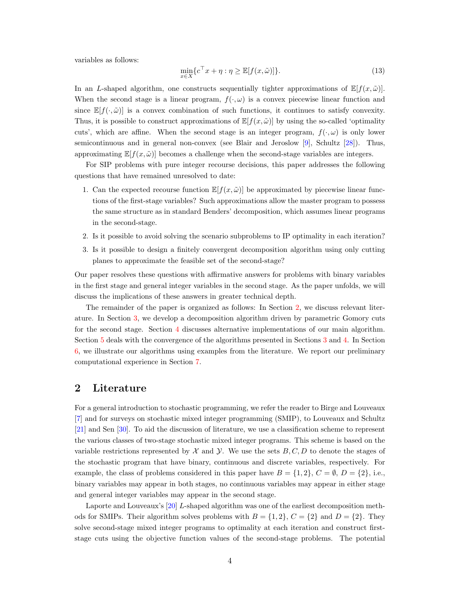variables as follows:

<span id="page-3-1"></span>
$$
\min_{x \in X} \{ c^{\top} x + \eta : \eta \ge \mathbb{E}[f(x, \tilde{\omega})] \}. \tag{13}
$$

In an L-shaped algorithm, one constructs sequentially tighter approximations of  $\mathbb{E}[f(x,\tilde{\omega})]$ . When the second stage is a linear program,  $f(\cdot, \omega)$  is a convex piecewise linear function and since  $\mathbb{E}[f(\cdot,\tilde{\omega})]$  is a convex combination of such functions, it continues to satisfy convexity. Thus, it is possible to construct approximations of  $\mathbb{E}[f(x,\tilde{\omega})]$  by using the so-called 'optimality cuts', which are affine. When the second stage is an integer program,  $f(\cdot,\omega)$  is only lower semicontinuous and in general non-convex (see Blair and Jeroslow [\[9\]](#page-23-7), Schultz [\[28\]](#page-24-2)). Thus, approximating  $\mathbb{E}[f(x,\tilde{\omega})]$  becomes a challenge when the second-stage variables are integers.

For SIP problems with pure integer recourse decisions, this paper addresses the following questions that have remained unresolved to date:

- 1. Can the expected recourse function  $\mathbb{E}[f(x,\tilde{\omega})]$  be approximated by piecewise linear functions of the first-stage variables? Such approximations allow the master program to possess the same structure as in standard Benders' decomposition, which assumes linear programs in the second-stage.
- 2. Is it possible to avoid solving the scenario subproblems to IP optimality in each iteration?
- 3. Is it possible to design a finitely convergent decomposition algorithm using only cutting planes to approximate the feasible set of the second-stage?

Our paper resolves these questions with affirmative answers for problems with binary variables in the first stage and general integer variables in the second stage. As the paper unfolds, we will discuss the implications of these answers in greater technical depth.

The remainder of the paper is organized as follows: In Section [2,](#page-3-0) we discuss relevant literature. In Section [3,](#page-5-0) we develop a decomposition algorithm driven by parametric Gomory cuts for the second stage. Section [4](#page-8-0) discusses alternative implementations of our main algorithm. Section [5](#page-10-0) deals with the convergence of the algorithms presented in Sections [3](#page-5-0) and [4.](#page-8-0) In Section [6,](#page-13-0) we illustrate our algorithms using examples from the literature. We report our preliminary computational experience in Section [7.](#page-20-0)

## <span id="page-3-0"></span>2 Literature

For a general introduction to stochastic programming, we refer the reader to Birge and Louveaux [\[7\]](#page-23-8) and for surveys on stochastic mixed integer programming (SMIP), to Louveaux and Schultz [\[21\]](#page-23-9) and Sen [\[30\]](#page-24-3). To aid the discussion of literature, we use a classification scheme to represent the various classes of two-stage stochastic mixed integer programs. This scheme is based on the variable restrictions represented by  $\mathcal X$  and  $\mathcal Y$ . We use the sets  $B, C, D$  to denote the stages of the stochastic program that have binary, continuous and discrete variables, respectively. For example, the class of problems considered in this paper have  $B = \{1, 2\}$ ,  $C = \emptyset$ ,  $D = \{2\}$ , i.e., binary variables may appear in both stages, no continuous variables may appear in either stage and general integer variables may appear in the second stage.

Laporte and Louveaux's [\[20\]](#page-23-10) L-shaped algorithm was one of the earliest decomposition methods for SMIPs. Their algorithm solves problems with  $B = \{1, 2\}$ ,  $C = \{2\}$  and  $D = \{2\}$ . They solve second-stage mixed integer programs to optimality at each iteration and construct firststage cuts using the objective function values of the second-stage problems. The potential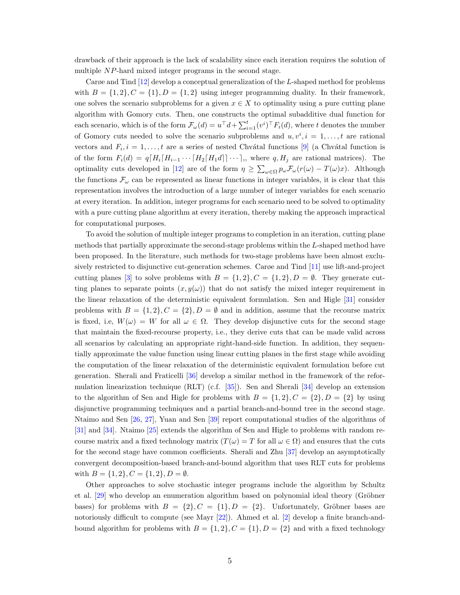drawback of their approach is the lack of scalability since each iteration requires the solution of multiple NP-hard mixed integer programs in the second stage.

Carøe and Tind [\[12\]](#page-23-6) develop a conceptual generalization of the L-shaped method for problems with  $B = \{1, 2\}, C = \{1\}, D = \{1, 2\}$  using integer programming duality. In their framework, one solves the scenario subproblems for a given  $x \in X$  to optimality using a pure cutting plane algorithm with Gomory cuts. Then, one constructs the optimal subadditive dual function for each scenario, which is of the form  $\mathcal{F}_{\omega}(d) = u^{\top}d + \sum_{i=1}^{t} (v^i)^{\top} F_i(d)$ , where t denotes the number of Gomory cuts needed to solve the scenario subproblems and  $u, v^i, i = 1, \ldots, t$  are rational vectors and  $F_i, i = 1, \ldots, t$  are a series of nested Chvátal functions [\[9\]](#page-23-7) (a Chvátal function is of the form  $F_i(d) = q[H_i[H_{i-1} \cdots [H_2[H_1 d]] \cdots],$  where  $q, H_j$  are rational matrices). The optimality cuts developed in [\[12\]](#page-23-6) are of the form  $\eta \ge \sum_{\omega \in \Omega} p_{\omega} \mathcal{F}_{\omega}(r(\omega) - T(\omega)x)$ . Although the functions  $\mathcal{F}_{\omega}$  can be represented as linear functions in integer variables, it is clear that this representation involves the introduction of a large number of integer variables for each scenario at every iteration. In addition, integer programs for each scenario need to be solved to optimality with a pure cutting plane algorithm at every iteration, thereby making the approach impractical for computational purposes.

To avoid the solution of multiple integer programs to completion in an iteration, cutting plane methods that partially approximate the second-stage problems within the L-shaped method have been proposed. In the literature, such methods for two-stage problems have been almost exclusively restricted to disjunctive cut-generation schemes. Carøe and Tind [\[11\]](#page-23-11) use lift-and-project cutting planes [\[3\]](#page-22-2) to solve problems with  $B = \{1, 2\}, C = \{1, 2\}, D = \emptyset$ . They generate cutting planes to separate points  $(x, y(\omega))$  that do not satisfy the mixed integer requirement in the linear relaxation of the deterministic equivalent formulation. Sen and Higle [\[31\]](#page-24-1) consider problems with  $B = \{1, 2\}, C = \{2\}, D = \emptyset$  and in addition, assume that the recourse matrix is fixed, i.e,  $W(\omega) = W$  for all  $\omega \in \Omega$ . They develop disjunctive cuts for the second stage that maintain the fixed-recourse property, i.e., they derive cuts that can be made valid across all scenarios by calculating an appropriate right-hand-side function. In addition, they sequentially approximate the value function using linear cutting planes in the first stage while avoiding the computation of the linear relaxation of the deterministic equivalent formulation before cut generation. Sherali and Fraticelli [\[36\]](#page-24-0) develop a similar method in the framework of the reformulation linearization technique (RLT) (c.f. [\[35\]](#page-24-4)). Sen and Sherali [\[34\]](#page-24-5) develop an extension to the algorithm of Sen and Higle for problems with  $B = \{1, 2\}, C = \{2\}, D = \{2\}$  by using disjunctive programming techniques and a partial branch-and-bound tree in the second stage. Ntaimo and Sen [\[26,](#page-24-6) [27\]](#page-24-7), Yuan and Sen [\[39\]](#page-25-1) report computational studies of the algorithms of [\[31\]](#page-24-1) and [\[34\]](#page-24-5). Ntaimo [\[25\]](#page-24-8) extends the algorithm of Sen and Higle to problems with random recourse matrix and a fixed technology matrix  $(T(\omega) = T$  for all  $\omega \in \Omega$ ) and ensures that the cuts for the second stage have common coefficients. Sherali and Zhu [\[37\]](#page-24-9) develop an asymptotically convergent decomposition-based branch-and-bound algorithm that uses RLT cuts for problems with  $B = \{1, 2\}, C = \{1, 2\}, D = \emptyset$ .

Other approaches to solve stochastic integer programs include the algorithm by Schultz et al. [\[29\]](#page-24-10) who develop an enumeration algorithm based on polynomial ideal theory (Gröbner bases) for problems with  $B = \{2\}, C = \{1\}, D = \{2\}.$  Unfortunately, Gröbner bases are notoriously difficult to compute (see Mayr [\[22\]](#page-23-12)). Ahmed et al. [\[2\]](#page-22-3) develop a finite branch-andbound algorithm for problems with  $B = \{1, 2\}$ ,  $C = \{1\}$ ,  $D = \{2\}$  and with a fixed technology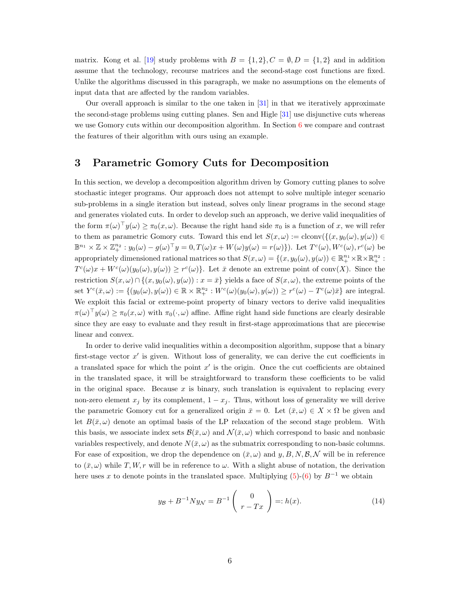matrix. Kong et al. [\[19\]](#page-23-13) study problems with  $B = \{1, 2\}$ ,  $C = \emptyset$ ,  $D = \{1, 2\}$  and in addition assume that the technology, recourse matrices and the second-stage cost functions are fixed. Unlike the algorithms discussed in this paragraph, we make no assumptions on the elements of input data that are affected by the random variables.

Our overall approach is similar to the one taken in [\[31\]](#page-24-1) in that we iteratively approximate the second-stage problems using cutting planes. Sen and Higle [\[31\]](#page-24-1) use disjunctive cuts whereas we use Gomory cuts within our decomposition algorithm. In Section  $6$  we compare and contrast the features of their algorithm with ours using an example.

# <span id="page-5-0"></span>3 Parametric Gomory Cuts for Decomposition

In this section, we develop a decomposition algorithm driven by Gomory cutting planes to solve stochastic integer programs. Our approach does not attempt to solve multiple integer scenario sub-problems in a single iteration but instead, solves only linear programs in the second stage and generates violated cuts. In order to develop such an approach, we derive valid inequalities of the form  $\pi(\omega)^{\top} y(\omega) \geq \pi_0(x, \omega)$ . Because the right hand side  $\pi_0$  is a function of x, we will refer to them as parametric Gomory cuts. Toward this end let  $S(x, \omega) :=$  clconv $(\{(x, y_0(\omega), y(\omega)) \in$  $\mathbb{B}^{n_1} \times \mathbb{Z} \times \mathbb{Z}_+^{n_2} : y_0(\omega) - g(\omega)^\top y = 0, T(\omega)x + W(\omega)y(\omega) = r(\omega)\}$ ). Let  $T^c(\omega), W^c(\omega), r^c(\omega)$  be appropriately dimensioned rational matrices so that  $S(x, \omega) = \{(x, y_0(\omega), y(\omega)) \in \mathbb{R}^{n_1}_+ \times \mathbb{R} \times \mathbb{R}^{n_2}_+ :$  $T^{c}(\omega)x + W^{c}(\omega)(y_{0}(\omega), y(\omega)) \geq r^{c}(\omega)$ . Let  $\bar{x}$  denote an extreme point of conv(X). Since the restriction  $S(x,\omega) \cap \{(x,y_0(\omega),y(\omega)) : x = \bar{x}\}\$  yields a face of  $S(x,\omega)$ , the extreme points of the  $set Y^c(\bar{x}, \omega) := \{ (y_0(\omega), y(\omega)) \in \mathbb{R} \times \mathbb{R}^{n_2}_+ : W^c(\omega)(y_0(\omega), y(\omega)) \geq r^c(\omega) - T^c(\omega)\bar{x} \}$  are integral. We exploit this facial or extreme-point property of binary vectors to derive valid inequalities  $\pi(\omega)^\top y(\omega) \ge \pi_0(x, \omega)$  with  $\pi_0(\cdot, \omega)$  affine. Affine right hand side functions are clearly desirable since they are easy to evaluate and they result in first-stage approximations that are piecewise linear and convex.

In order to derive valid inequalities within a decomposition algorithm, suppose that a binary first-stage vector  $x'$  is given. Without loss of generality, we can derive the cut coefficients in a translated space for which the point  $x'$  is the origin. Once the cut coefficients are obtained in the translated space, it will be straightforward to transform these coefficients to be valid in the original space. Because  $x$  is binary, such translation is equivalent to replacing every non-zero element  $x_j$  by its complement,  $1 - x_j$ . Thus, without loss of generality we will derive the parametric Gomory cut for a generalized origin  $\bar{x} = 0$ . Let  $(\bar{x}, \omega) \in X \times \Omega$  be given and let  $B(\bar{x}, \omega)$  denote an optimal basis of the LP relaxation of the second stage problem. With this basis, we associate index sets  $\mathcal{B}(\bar{x}, \omega)$  and  $\mathcal{N}(\bar{x}, \omega)$  which correspond to basic and nonbasic variables respectively, and denote  $N(\bar{x}, \omega)$  as the submatrix corresponding to non-basic columns. For ease of exposition, we drop the dependence on  $(\bar{x}, \omega)$  and  $y, B, N, \mathcal{B}, \mathcal{N}$  will be in reference to  $(\bar{x}, \omega)$  while T, W, r will be in reference to  $\omega$ . With a slight abuse of notation, the derivation here uses x to denote points in the translated space. Multiplying  $(5)-(6)$  $(5)-(6)$  by  $B^{-1}$  we obtain

<span id="page-5-1"></span>
$$
y_{\mathcal{B}} + B^{-1} N y_{\mathcal{N}} = B^{-1} \begin{pmatrix} 0 \\ r - Tx \end{pmatrix} =: h(x). \tag{14}
$$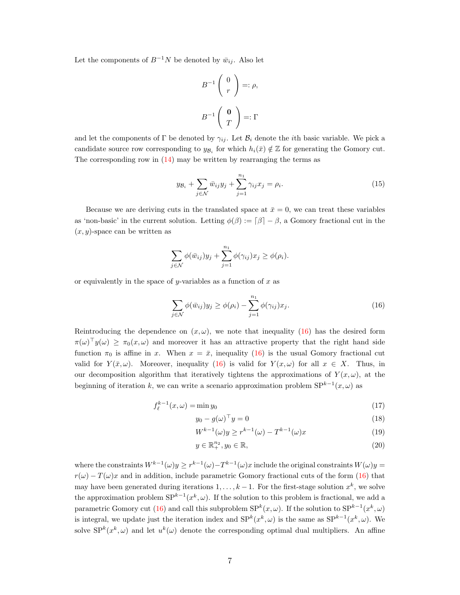Let the components of  $B^{-1}N$  be denoted by  $\bar{w}_{ij}$ . Also let

$$
B^{-1}\left(\begin{array}{c} 0\\ r \end{array}\right) =: \rho,
$$
  

$$
B^{-1}\left(\begin{array}{c} \mathbf{0}\\ T \end{array}\right) =: \Gamma
$$

and let the components of Γ be denoted by  $\gamma_{ij}$ . Let  $\mathcal{B}_i$  denote the *i*th basic variable. We pick a candidate source row corresponding to  $y_{\mathcal{B}_i}$  for which  $h_i(\bar{x}) \notin \mathbb{Z}$  for generating the Gomory cut. The corresponding row in  $(14)$  may be written by rearranging the terms as

$$
y_{\mathcal{B}_i} + \sum_{j \in \mathcal{N}} \bar{w}_{ij} y_j + \sum_{j=1}^{n_1} \gamma_{ij} x_j = \rho_i.
$$
 (15)

Because we are deriving cuts in the translated space at  $\bar{x} = 0$ , we can treat these variables as 'non-basic' in the current solution. Letting  $\phi(\beta) := \lceil \beta \rceil - \beta$ , a Gomory fractional cut in the  $(x, y)$ -space can be written as

$$
\sum_{j \in \mathcal{N}} \phi(\bar{w}_{ij}) y_j + \sum_{j=1}^{n_1} \phi(\gamma_{ij}) x_j \geq \phi(\rho_i).
$$

or equivalently in the space of y-variables as a function of  $x$  as

<span id="page-6-0"></span>
$$
\sum_{j \in \mathcal{N}} \phi(\bar{w}_{ij}) y_j \ge \phi(\rho_i) - \sum_{j=1}^{n_1} \phi(\gamma_{ij}) x_j.
$$
\n(16)

Reintroducing the dependence on  $(x, \omega)$ , we note that inequality [\(16\)](#page-6-0) has the desired form  $\pi(\omega)^\top y(\omega) \geq \pi_0(x,\omega)$  and moreover it has an attractive property that the right hand side function  $\pi_0$  is affine in x. When  $x = \bar{x}$ , inequality [\(16\)](#page-6-0) is the usual Gomory fractional cut valid for  $Y(\bar{x}, \omega)$ . Moreover, inequality [\(16\)](#page-6-0) is valid for  $Y(x, \omega)$  for all  $x \in X$ . Thus, in our decomposition algorithm that iteratively tightens the approximations of  $Y(x, \omega)$ , at the beginning of iteration k, we can write a scenario approximation problem  $SP^{k-1}(x, \omega)$  as

$$
f_{\ell}^{k-1}(x,\omega) = \min y_0 \tag{17}
$$

$$
y_0 - g(\omega)^\top y = 0 \tag{18}
$$

$$
W^{k-1}(\omega)y \ge r^{k-1}(\omega) - T^{k-1}(\omega)x\tag{19}
$$

$$
y \in \mathbb{R}_+^{n_2}, y_0 \in \mathbb{R},\tag{20}
$$

where the constraints  $W^{k-1}(\omega)y \geq r^{k-1}(\omega) - T^{k-1}(\omega)x$  include the original constraints  $W(\omega)y =$  $r(\omega) - T(\omega)x$  and in addition, include parametric Gomory fractional cuts of the form [\(16\)](#page-6-0) that may have been generated during iterations  $1, \ldots, k-1$ . For the first-stage solution  $x^k$ , we solve the approximation problem  $SP^{k-1}(x^k, \omega)$ . If the solution to this problem is fractional, we add a parametric Gomory cut [\(16\)](#page-6-0) and call this subproblem  $SP^{k}(x, \omega)$ . If the solution to  $SP^{k-1}(x^k, \omega)$ is integral, we update just the iteration index and  $SP^{k}(x^{k}, \omega)$  is the same as  $SP^{k-1}(x^{k}, \omega)$ . We solve  $SP^{k}(x^{k}, \omega)$  and let  $u^{k}(\omega)$  denote the corresponding optimal dual multipliers. An affine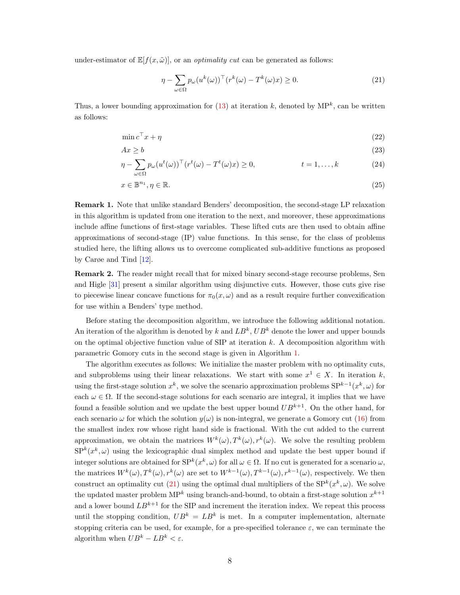under-estimator of  $\mathbb{E}[f(x,\tilde{\omega})]$ , or an *optimality cut* can be generated as follows:

<span id="page-7-0"></span>
$$
\eta - \sum_{\omega \in \Omega} p_{\omega} (u^k(\omega))^\top (r^k(\omega) - T^k(\omega)x) \ge 0.
$$
\n(21)

Thus, a lower bounding approximation for  $(13)$  at iteration k, denoted by  $MP<sup>k</sup>$ , can be written as follows:

$$
\min c^{\top} x + \eta \tag{22}
$$

$$
Ax \ge b \tag{23}
$$

$$
\eta - \sum_{\omega \in \Omega} p_{\omega} (u^t(\omega))^\top (r^t(\omega) - T^t(\omega)x) \ge 0, \qquad t = 1, \dots, k \tag{24}
$$

$$
x \in \mathbb{B}^{n_1}, \eta \in \mathbb{R}.\tag{25}
$$

Remark 1. Note that unlike standard Benders' decomposition, the second-stage LP relaxation in this algorithm is updated from one iteration to the next, and moreover, these approximations include affine functions of first-stage variables. These lifted cuts are then used to obtain affine approximations of second-stage (IP) value functions. In this sense, for the class of problems studied here, the lifting allows us to overcome complicated sub-additive functions as proposed by Carøe and Tind [\[12\]](#page-23-6).

Remark 2. The reader might recall that for mixed binary second-stage recourse problems, Sen and Higle [\[31\]](#page-24-1) present a similar algorithm using disjunctive cuts. However, those cuts give rise to piecewise linear concave functions for  $\pi_0(x, \omega)$  and as a result require further convexification for use within a Benders' type method.

Before stating the decomposition algorithm, we introduce the following additional notation. An iteration of the algorithm is denoted by k and  $LB^k$ ,  $UB^k$  denote the lower and upper bounds on the optimal objective function value of  $SIP$  at iteration k. A decomposition algorithm with parametric Gomory cuts in the second stage is given in Algorithm [1.](#page-8-1)

The algorithm executes as follows: We initialize the master problem with no optimality cuts, and subproblems using their linear relaxations. We start with some  $x^1 \in X$ . In iteration k, using the first-stage solution  $x^k$ , we solve the scenario approximation problems  $SP^{k-1}(x^k, \omega)$  for each  $\omega \in \Omega$ . If the second-stage solutions for each scenario are integral, it implies that we have found a feasible solution and we update the best upper bound  $UB^{k+1}$ . On the other hand, for each scenario  $\omega$  for which the solution  $y(\omega)$  is non-integral, we generate a Gomory cut [\(16\)](#page-6-0) from the smallest index row whose right hand side is fractional. With the cut added to the current approximation, we obtain the matrices  $W^k(\omega)$ ,  $T^k(\omega)$ ,  $r^k(\omega)$ . We solve the resulting problem  $SP<sup>k</sup>(x<sup>k</sup>, \omega)$  using the lexicographic dual simplex method and update the best upper bound if integer solutions are obtained for  $SP^k(x^k, \omega)$  for all  $\omega \in \Omega$ . If no cut is generated for a scenario  $\omega$ , the matrices  $W^k(\omega)$ ,  $T^k(\omega)$ ,  $r^k(\omega)$  are set to  $W^{k-1}(\omega)$ ,  $T^{k-1}(\omega)$ ,  $r^{k-1}(\omega)$ , respectively. We then construct an optimality cut [\(21\)](#page-7-0) using the optimal dual multipliers of the  $SP<sup>k</sup>(x<sup>k</sup>, \omega)$ . We solve the updated master problem  $MP^k$  using branch-and-bound, to obtain a first-stage solution  $x^{k+1}$ and a lower bound  $LB^{k+1}$  for the SIP and increment the iteration index. We repeat this process until the stopping condition,  $UB^k = LB^k$  is met. In a computer implementation, alternate stopping criteria can be used, for example, for a pre-specified tolerance  $\varepsilon$ , we can terminate the algorithm when  $UB^k - LB^k < \varepsilon$ .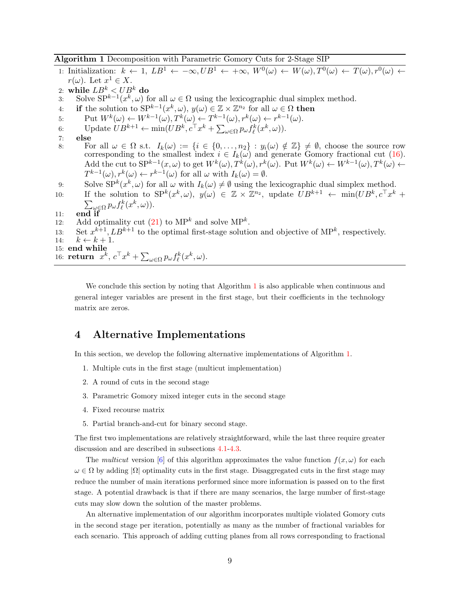Algorithm 1 Decomposition with Parametric Gomory Cuts for 2-Stage SIP

<span id="page-8-2"></span><span id="page-8-1"></span>1: Initialization:  $k \leftarrow 1, LB^1 \leftarrow -\infty, UB^1 \leftarrow +\infty, W^0(\omega) \leftarrow W(\omega), T^0(\omega) \leftarrow T(\omega), r^0(\omega) \leftarrow$  $r(\omega)$ . Let  $x^1 \in X$ . 2: while  $LB^k < UB^k$  do 3: Solve  $SP^{k-1}(x^k, \omega)$  for all  $\omega \in \Omega$  using the lexicographic dual simplex method. 4: if the solution to  $SP^{k-1}(x^k, \omega), y(\omega) \in \mathbb{Z} \times \mathbb{Z}^{n_2}$  for all  $\omega \in \Omega$  then 5: Put  $W^k(\omega) \leftarrow W^{k-1}(\omega), T^k(\omega) \leftarrow T^{k-1}(\omega), r^k(\omega) \leftarrow r^{k-1}(\omega).$ 6: Update  $UB^{k+1} \leftarrow \min(UB^k, c^\top x^k + \sum_{\omega \in \Omega} p_{\omega} f_{\ell}^k(x^k, \omega)).$ 7: else 8: For all  $\omega \in \Omega$  s.t.  $I_k(\omega) := \{i \in \{0, ..., n_2\} : y_i(\omega) \notin \mathbb{Z}\}\neq \emptyset$ , choose the source row corresponding to the smallest index  $i \in I_k(\omega)$  and generate Gomory fractional cut [\(16\)](#page-6-0). Add the cut to  $SP^{k-1}(x, \omega)$  to get  $W^k(\omega), T^k(\omega), r^k(\omega)$ . Put  $W^k(\omega) \leftarrow W^{k-1}(\omega), T^k(\omega) \leftarrow$  $T^{k-1}(\omega), r^k(\omega) \leftarrow r^{k-1}(\omega)$  for all  $\omega$  with  $I_k(\omega) = \emptyset$ . 9: Solve  $SP^{k}(x^{k}, \omega)$  for all  $\omega$  with  $I_{k}(\omega) \neq \emptyset$  using the lexicographic dual simplex method. 10: If the solution to  $SP^{k}(x^{k}, \omega)$ ,  $y(\omega) \in \mathbb{Z} \times \mathbb{Z}^{n_2}$ , update  $UB^{k+1} \leftarrow \min(UB^{k}, c^{\top}x^{k} +$  $\sum_{\omega \in \Omega} p_{\omega} f_{\ell}^k(x^k, \omega)$ . 11: end if 12: Add optimality cut  $(21)$  to MP<sup>k</sup> and solve MP<sup>k</sup>. 13: Set  $x^{k+1}$ ,  $LB^{k+1}$  to the optimal first-stage solution and objective of MP<sup>k</sup>, respectively. 14:  $k \leftarrow k + 1$ . 15: end while 16: return  $x^k$ ,  $c^{\top}x^k + \sum_{\omega \in \Omega} p_{\omega} f_{\ell}^k(x^k, \omega)$ .

<span id="page-8-3"></span>We conclude this section by noting that Algorithm [1](#page-8-1) is also applicable when continuous and general integer variables are present in the first stage, but their coefficients in the technology matrix are zeros.

## <span id="page-8-0"></span>4 Alternative Implementations

In this section, we develop the following alternative implementations of Algorithm [1.](#page-8-1)

- 1. Multiple cuts in the first stage (multicut implementation)
- 2. A round of cuts in the second stage
- 3. Parametric Gomory mixed integer cuts in the second stage
- 4. Fixed recourse matrix
- 5. Partial branch-and-cut for binary second stage.

The first two implementations are relatively straightforward, while the last three require greater discussion and are described in subsections [4.1-](#page-9-0)[4.3.](#page-10-1)

The multicut version [\[6\]](#page-22-4) of this algorithm approximates the value function  $f(x, \omega)$  for each  $\omega \in \Omega$  by adding  $|\Omega|$  optimality cuts in the first stage. Disaggregated cuts in the first stage may reduce the number of main iterations performed since more information is passed on to the first stage. A potential drawback is that if there are many scenarios, the large number of first-stage cuts may slow down the solution of the master problems.

An alternative implementation of our algorithm incorporates multiple violated Gomory cuts in the second stage per iteration, potentially as many as the number of fractional variables for each scenario. This approach of adding cutting planes from all rows corresponding to fractional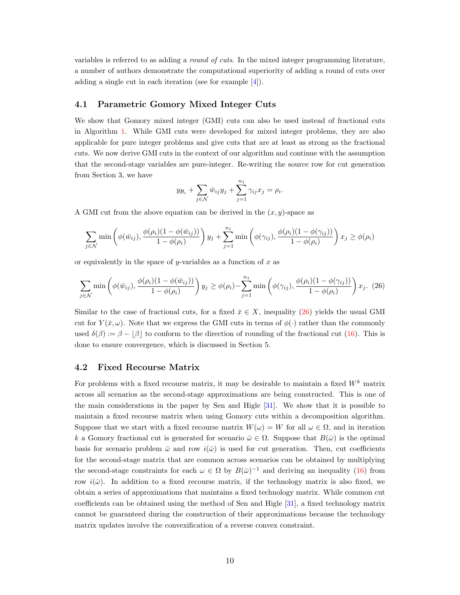variables is referred to as adding a round of cuts. In the mixed integer programming literature, a number of authors demonstrate the computational superiority of adding a round of cuts over adding a single cut in each iteration (see for example [\[4\]](#page-22-0)).

#### <span id="page-9-0"></span>4.1 Parametric Gomory Mixed Integer Cuts

We show that Gomory mixed integer (GMI) cuts can also be used instead of fractional cuts in Algorithm [1.](#page-8-1) While GMI cuts were developed for mixed integer problems, they are also applicable for pure integer problems and give cuts that are at least as strong as the fractional cuts. We now derive GMI cuts in the context of our algorithm and continue with the assumption that the second-stage variables are pure-integer. Re-writing the source row for cut generation from Section 3, we have

$$
y_{\mathcal{B}_i} + \sum_{j \in \mathcal{N}} \bar{w}_{ij} y_j + \sum_{j=1}^{n_1} \gamma_{ij} x_j = \rho_i.
$$

A GMI cut from the above equation can be derived in the  $(x, y)$ -space as

$$
\sum_{j \in \mathcal{N}} \min \left( \phi(\bar{w}_{ij}), \frac{\phi(\rho_i)(1 - \phi(\bar{w}_{ij}))}{1 - \phi(\rho_i)} \right) y_j + \sum_{j=1}^{n_1} \min \left( \phi(\gamma_{ij}), \frac{\phi(\rho_i)(1 - \phi(\gamma_{ij}))}{1 - \phi(\rho_i)} \right) x_j \ge \phi(\rho_i)
$$

or equivalently in the space of y-variables as a function of  $x$  as

<span id="page-9-1"></span>
$$
\sum_{j \in \mathcal{N}} \min\left(\phi(\bar{w}_{ij}), \frac{\phi(\rho_i)(1 - \phi(\bar{w}_{ij}))}{1 - \phi(\rho_i)}\right) y_j \ge \phi(\rho_i) - \sum_{j=1}^{n_1} \min\left(\phi(\gamma_{ij}), \frac{\phi(\rho_i)(1 - \phi(\gamma_{ij}))}{1 - \phi(\rho_i)}\right) x_j. (26)
$$

Similar to the case of fractional cuts, for a fixed  $\bar{x} \in X$ , inequality [\(26\)](#page-9-1) yields the usual GMI cut for  $Y(\bar{x}, \omega)$ . Note that we express the GMI cuts in terms of  $\phi(\cdot)$  rather than the commonly used  $\delta(\beta) := \beta - |\beta|$  to conform to the direction of rounding of the fractional cut [\(16\)](#page-6-0). This is done to ensure convergence, which is discussed in Section 5.

#### 4.2 Fixed Recourse Matrix

For problems with a fixed recourse matrix, it may be desirable to maintain a fixed  $W^k$  matrix across all scenarios as the second-stage approximations are being constructed. This is one of the main considerations in the paper by Sen and Higle [\[31\]](#page-24-1). We show that it is possible to maintain a fixed recourse matrix when using Gomory cuts within a decomposition algorithm. Suppose that we start with a fixed recourse matrix  $W(\omega) = W$  for all  $\omega \in \Omega$ , and in iteration k a Gomory fractional cut is generated for scenario  $\bar{\omega} \in \Omega$ . Suppose that  $B(\bar{\omega})$  is the optimal basis for scenario problem  $\bar{\omega}$  and row  $i(\bar{\omega})$  is used for cut generation. Then, cut coefficients for the second-stage matrix that are common across scenarios can be obtained by multiplying the second-stage constraints for each  $\omega \in \Omega$  by  $B(\bar{\omega})^{-1}$  and deriving an inequality [\(16\)](#page-6-0) from row  $i(\bar{\omega})$ . In addition to a fixed recourse matrix, if the technology matrix is also fixed, we obtain a series of approximations that maintains a fixed technology matrix. While common cut coefficients can be obtained using the method of Sen and Higle [\[31\]](#page-24-1), a fixed technology matrix cannot be guaranteed during the construction of their approximations because the technology matrix updates involve the convexification of a reverse convex constraint.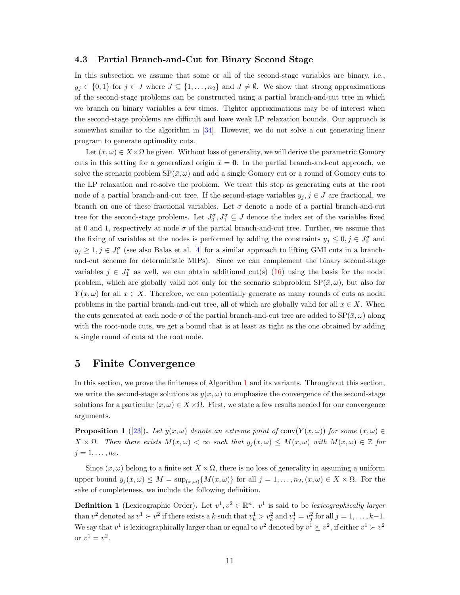#### <span id="page-10-1"></span>4.3 Partial Branch-and-Cut for Binary Second Stage

In this subsection we assume that some or all of the second-stage variables are binary, i.e.,  $y_j \in \{0,1\}$  for  $j \in J$  where  $J \subseteq \{1,\ldots,n_2\}$  and  $J \neq \emptyset$ . We show that strong approximations of the second-stage problems can be constructed using a partial branch-and-cut tree in which we branch on binary variables a few times. Tighter approximations may be of interest when the second-stage problems are difficult and have weak LP relaxation bounds. Our approach is somewhat similar to the algorithm in [\[34\]](#page-24-5). However, we do not solve a cut generating linear program to generate optimality cuts.

Let  $(\bar{x}, \omega) \in X \times \Omega$  be given. Without loss of generality, we will derive the parametric Gomory cuts in this setting for a generalized origin  $\bar{x} = 0$ . In the partial branch-and-cut approach, we solve the scenario problem  $\text{SP}(\bar{x}, \omega)$  and add a single Gomory cut or a round of Gomory cuts to the LP relaxation and re-solve the problem. We treat this step as generating cuts at the root node of a partial branch-and-cut tree. If the second-stage variables  $y_j, j \in J$  are fractional, we branch on one of these fractional variables. Let  $\sigma$  denote a node of a partial branch-and-cut tree for the second-stage problems. Let  $J_0^{\sigma}, J_1^{\sigma} \subseteq J$  denote the index set of the variables fixed at 0 and 1, respectively at node  $\sigma$  of the partial branch-and-cut tree. Further, we assume that the fixing of variables at the nodes is performed by adding the constraints  $y_j \leq 0, j \in J_0^{\sigma}$  and  $y_j \geq 1, j \in J_1^{\sigma}$  (see also Balas et al. [\[4\]](#page-22-0) for a similar approach to lifting GMI cuts in a branchand-cut scheme for deterministic MIPs). Since we can complement the binary second-stage variables  $j \in J_1^{\sigma}$  as well, we can obtain additional cut(s) [\(16\)](#page-6-0) using the basis for the nodal problem, which are globally valid not only for the scenario subproblem  $\text{SP}(\bar{x}, \omega)$ , but also for  $Y(x, \omega)$  for all  $x \in X$ . Therefore, we can potentially generate as many rounds of cuts as nodal problems in the partial branch-and-cut tree, all of which are globally valid for all  $x \in X$ . When the cuts generated at each node  $\sigma$  of the partial branch-and-cut tree are added to  $SP(\bar{x}, \omega)$  along with the root-node cuts, we get a bound that is at least as tight as the one obtained by adding a single round of cuts at the root node.

## <span id="page-10-0"></span>5 Finite Convergence

In this section, we prove the finiteness of Algorithm [1](#page-8-1) and its variants. Throughout this section, we write the second-stage solutions as  $y(x, \omega)$  to emphasize the convergence of the second-stage solutions for a particular  $(x, \omega) \in X \times \Omega$ . First, we state a few results needed for our convergence arguments.

<span id="page-10-2"></span>**Proposition 1** ([\[23\]](#page-24-11)). Let  $y(x, \omega)$  denote an extreme point of conv $(Y(x, \omega))$  for some  $(x, \omega) \in$  $X \times \Omega$ . Then there exists  $M(x,\omega) < \infty$  such that  $y_j(x,\omega) \leq M(x,\omega)$  with  $M(x,\omega) \in \mathbb{Z}$  for  $j = 1, \ldots, n_2$ .

Since  $(x, \omega)$  belong to a finite set  $X \times \Omega$ , there is no loss of generality in assuming a uniform upper bound  $y_j(x,\omega) \leq M = \sup_{(x,\omega)} \{M(x,\omega)\}\$ for all  $j = 1, \ldots, n_2, (x,\omega) \in X \times \Omega$ . For the sake of completeness, we include the following definition.

**Definition 1** (Lexicographic Order). Let  $v^1, v^2 \in \mathbb{R}^n$ .  $v^1$  is said to be lexicographically larger than  $v^2$  denoted as  $v^1 \succ v^2$  if there exists a k such that  $v^1_k > v^2_k$  and  $v^1_j = v^2_j$  for all  $j = 1, ..., k-1$ . We say that  $v^1$  is lexicographically larger than or equal to  $v^2$  denoted by  $v^1 \succeq v^2$ , if either  $v^1 \succ v^2$ or  $v^1 = v^2$ .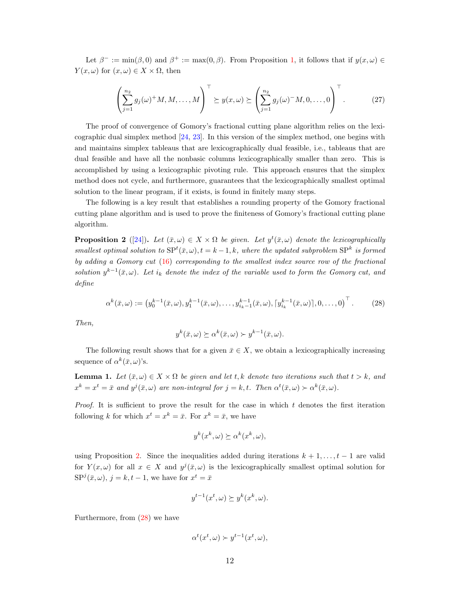Let  $\beta^- := \min(\beta, 0)$  and  $\beta^+ := \max(0, \beta)$ . From Proposition [1,](#page-10-2) it follows that if  $y(x, \omega) \in$  $Y(x, \omega)$  for  $(x, \omega) \in X \times \Omega$ , then

<span id="page-11-3"></span>
$$
\left(\sum_{j=1}^{n_2} g_j(\omega)^+ M, M, \dots, M\right)^\top \succeq y(x, \omega) \succeq \left(\sum_{j=1}^{n_2} g_j(\omega)^- M, 0, \dots, 0\right)^\top. \tag{27}
$$

The proof of convergence of Gomory's fractional cutting plane algorithm relies on the lexicographic dual simplex method [\[24,](#page-24-12) [23\]](#page-24-11). In this version of the simplex method, one begins with and maintains simplex tableaus that are lexicographically dual feasible, i.e., tableaus that are dual feasible and have all the nonbasic columns lexicographically smaller than zero. This is accomplished by using a lexicographic pivoting rule. This approach ensures that the simplex method does not cycle, and furthermore, guarantees that the lexicographically smallest optimal solution to the linear program, if it exists, is found in finitely many steps.

The following is a key result that establishes a rounding property of the Gomory fractional cutting plane algorithm and is used to prove the finiteness of Gomory's fractional cutting plane algorithm.

<span id="page-11-0"></span>**Proposition 2** ([\[24\]](#page-24-12)). Let  $(\bar{x}, \omega) \in X \times \Omega$  be given. Let  $y^t(\bar{x}, \omega)$  denote the lexicographically smallest optimal solution to  $SP<sup>t</sup>(\bar{x}, \omega), t = k - 1, k$ , where the updated subproblem  $SP<sup>k</sup>$  is formed by adding a Gomory cut [\(16\)](#page-6-0) corresponding to the smallest index source row of the fractional solution  $y^{k-1}(\bar{x}, \omega)$ . Let  $i_k$  denote the index of the variable used to form the Gomory cut, and define

<span id="page-11-1"></span>
$$
\alpha^{k}(\bar{x},\omega) := (y_0^{k-1}(\bar{x},\omega), y_1^{k-1}(\bar{x},\omega), \ldots, y_{i_k-1}^{k-1}(\bar{x},\omega), [y_{i_k}^{k-1}(\bar{x},\omega)], 0, \ldots, 0)^{\top}.
$$
 (28)

Then,

$$
y^{k}(\bar{x},\omega) \succeq \alpha^{k}(\bar{x},\omega) \succ y^{k-1}(\bar{x},\omega).
$$

The following result shows that for a given  $\bar{x} \in X$ , we obtain a lexicographically increasing sequence of  $\alpha^k(\bar{x}, \omega)$ 's.

<span id="page-11-2"></span>**Lemma 1.** Let  $(\bar{x}, \omega) \in X \times \Omega$  be given and let t, k denote two iterations such that  $t > k$ , and  $x^k = x^t = \bar{x}$  and  $y^j(\bar{x}, \omega)$  are non-integral for  $j = k, t$ . Then  $\alpha^t(\bar{x}, \omega) \succ \alpha^k(\bar{x}, \omega)$ .

*Proof.* It is sufficient to prove the result for the case in which  $t$  denotes the first iteration following k for which  $x^t = x^k = \bar{x}$ . For  $x^k = \bar{x}$ , we have

$$
y^k(x^k, \omega) \succeq \alpha^k(x^k, \omega),
$$

using Proposition [2.](#page-11-0) Since the inequalities added during iterations  $k + 1, \ldots, t - 1$  are valid for  $Y(x, \omega)$  for all  $x \in X$  and  $y^{j}(\bar{x}, \omega)$  is the lexicographically smallest optimal solution for  $SP<sup>j</sup>(\bar{x}, \omega)$ ,  $j = k, t - 1$ , we have for  $x<sup>t</sup> = \bar{x}$ 

$$
y^{t-1}(x^t, \omega) \succeq y^k(x^k, \omega).
$$

Furthermore, from [\(28\)](#page-11-1) we have

$$
\alpha^t(x^t, \omega) \succ y^{t-1}(x^t, \omega),
$$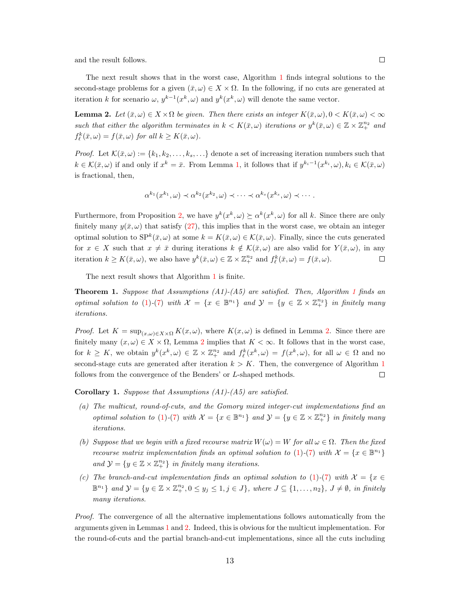and the result follows.

The next result shows that in the worst case, Algorithm [1](#page-8-1) finds integral solutions to the second-stage problems for a given  $(\bar{x}, \omega) \in X \times \Omega$ . In the following, if no cuts are generated at iteration k for scenario  $\omega$ ,  $y^{k-1}(x^k, \omega)$  and  $y^k(x^k, \omega)$  will denote the same vector.

<span id="page-12-0"></span>**Lemma 2.** Let  $(\bar{x}, \omega) \in X \times \Omega$  be given. Then there exists an integer  $K(\bar{x}, \omega)$ ,  $0 < K(\bar{x}, \omega) < \infty$ such that either the algorithm terminates in  $k < K(\bar{x}, \omega)$  iterations or  $y^k(\bar{x}, \omega) \in \mathbb{Z} \times \mathbb{Z}_+^{n_2}$  and  $f_{\ell}^{k}(\bar{x}, \omega) = f(\bar{x}, \omega)$  for all  $k \geq K(\bar{x}, \omega)$ .

*Proof.* Let  $\mathcal{K}(\bar{x}, \omega) := \{k_1, k_2, \ldots, k_s, \ldots\}$  denote a set of increasing iteration numbers such that  $k \in \mathcal{K}(\bar{x},\omega)$  if and only if  $x^k = \bar{x}$ . From Lemma [1,](#page-11-2) it follows that if  $y^{k_i-1}(x^{k_i},\omega), k_i \in \mathcal{K}(\bar{x},\omega)$ is fractional, then,

$$
\alpha^{k_1}(x^{k_1}, \omega) \prec \alpha^{k_2}(x^{k_2}, \omega) \prec \cdots \prec \alpha^{k_s}(x^{k_s}, \omega) \prec \cdots.
$$

Furthermore, from Proposition [2,](#page-11-0) we have  $y^k(x^k, \omega) \succeq \alpha^k(x^k, \omega)$  for all k. Since there are only finitely many  $y(\bar{x}, \omega)$  that satisfy [\(27\)](#page-11-3), this implies that in the worst case, we obtain an integer optimal solution to  $SP^{k}(\bar{x}, \omega)$  at some  $k = K(\bar{x}, \omega) \in \mathcal{K}(\bar{x}, \omega)$ . Finally, since the cuts generated for  $x \in X$  such that  $x \neq \bar{x}$  during iterations  $k \notin \mathcal{K}(\bar{x}, \omega)$  are also valid for  $Y(\bar{x}, \omega)$ , in any iteration  $k \geq K(\bar{x}, \omega)$ , we also have  $y^k(\bar{x}, \omega) \in \mathbb{Z} \times \mathbb{Z}_+^{n_2}$  and  $f_\ell^k(\bar{x}, \omega) = f(\bar{x}, \omega)$ .  $\Box$ 

The next result shows that Algorithm [1](#page-8-1) is finite.

**Theorem [1](#page-8-1).** Suppose that Assumptions  $(A1)-(A5)$  are satisfied. Then, Algorithm 1 finds an optimal solution to [\(1\)](#page-1-0)-[\(7\)](#page-1-1) with  $\mathcal{X} = \{x \in \mathbb{B}^{n_1}\}\$  and  $\mathcal{Y} = \{y \in \mathbb{Z} \times \mathbb{Z}_{+}^{n_2}\}\$ in finitely many iterations.

*Proof.* Let  $K = \sup_{(x,\omega)\in X\times\Omega} K(x,\omega)$ , where  $K(x,\omega)$  is defined in Lemma [2.](#page-12-0) Since there are finitely many  $(x, \omega) \in X \times \Omega$ , Lemma [2](#page-12-0) implies that  $K < \infty$ . It follows that in the worst case, for  $k \geq K$ , we obtain  $y^k(x^k, \omega) \in \mathbb{Z} \times \mathbb{Z}_+^{n_2}$  and  $f_\ell^k(x^k, \omega) = f(x^k, \omega)$ , for all  $\omega \in \Omega$  and no second-stage cuts are generated after iteration  $k > K$ . Then, the convergence of Algorithm [1](#page-8-1) follows from the convergence of the Benders' or L-shaped methods.  $\Box$ 

Corollary 1. Suppose that Assumptions (A1)-(A5) are satisfied.

- (a) The multicut, round-of-cuts, and the Gomory mixed integer-cut implementations find an optimal solution to [\(1\)](#page-1-0)-[\(7\)](#page-1-1) with  $\mathcal{X} = \{x \in \mathbb{B}^{n_1}\}\$  and  $\mathcal{Y} = \{y \in \mathbb{Z} \times \mathbb{Z}_{+}^{n_2}\}\$ in finitely many iterations.
- (b) Suppose that we begin with a fixed recourse matrix  $W(\omega) = W$  for all  $\omega \in \Omega$ . Then the fixed recourse matrix implementation finds an optimal solution to [\(1\)](#page-1-0)-[\(7\)](#page-1-1) with  $\mathcal{X} = \{x \in \mathbb{B}^{n_1}\}\$ and  $\mathcal{Y} = \{ y \in \mathbb{Z} \times \mathbb{Z}_{+}^{n_2} \}$  in finitely many iterations.
- (c) The branch-and-cut implementation finds an optimal solution to [\(1\)](#page-1-0)-[\(7\)](#page-1-1) with  $\mathcal{X} = \{x \in$  $\mathbb{B}^{n_1}$  and  $\mathcal{Y} = \{y \in \mathbb{Z} \times \mathbb{Z}_+^{n_2}, 0 \le y_j \le 1, j \in J\}$ , where  $J \subseteq \{1, \ldots, n_2\}$ ,  $J \ne \emptyset$ , in finitely many iterations.

Proof. The convergence of all the alternative implementations follows automatically from the arguments given in Lemmas [1](#page-11-2) and [2.](#page-12-0) Indeed, this is obvious for the multicut implementation. For the round-of-cuts and the partial branch-and-cut implementations, since all the cuts including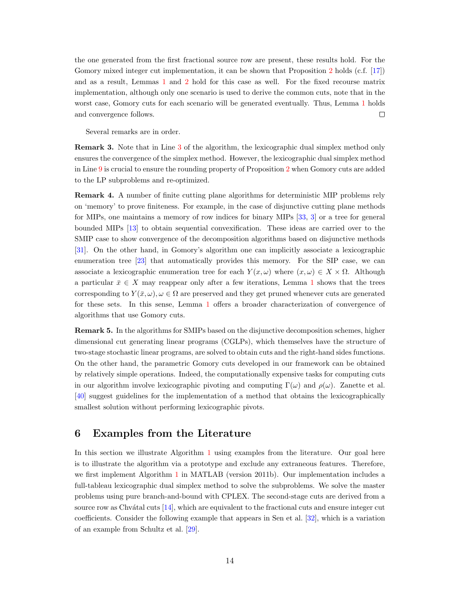the one generated from the first fractional source row are present, these results hold. For the Gomory mixed integer cut implementation, it can be shown that Proposition [2](#page-11-0) holds (c.f. [\[17\]](#page-23-1)) and as a result, Lemmas [1](#page-11-2) and [2](#page-12-0) hold for this case as well. For the fixed recourse matrix implementation, although only one scenario is used to derive the common cuts, note that in the worst case, Gomory cuts for each scenario will be generated eventually. Thus, Lemma [1](#page-11-2) holds and convergence follows.  $\Box$ 

Several remarks are in order.

Remark 3. Note that in Line [3](#page-8-2) of the algorithm, the lexicographic dual simplex method only ensures the convergence of the simplex method. However, the lexicographic dual simplex method in Line [9](#page-8-3) is crucial to ensure the rounding property of Proposition [2](#page-11-0) when Gomory cuts are added to the LP subproblems and re-optimized.

Remark 4. A number of finite cutting plane algorithms for deterministic MIP problems rely on 'memory' to prove finiteness. For example, in the case of disjunctive cutting plane methods for MIPs, one maintains a memory of row indices for binary MIPs [\[33,](#page-24-13) [3\]](#page-22-2) or a tree for general bounded MIPs [\[13\]](#page-23-14) to obtain sequential convexification. These ideas are carried over to the SMIP case to show convergence of the decomposition algorithms based on disjunctive methods [\[31\]](#page-24-1). On the other hand, in Gomory's algorithm one can implicitly associate a lexicographic enumeration tree [\[23\]](#page-24-11) that automatically provides this memory. For the SIP case, we can associate a lexicographic enumeration tree for each  $Y(x, \omega)$  where  $(x, \omega) \in X \times \Omega$ . Although a particular  $\bar{x} \in X$  may reappear only after a few iterations, Lemma [1](#page-11-2) shows that the trees corresponding to  $Y(\bar{x}, \omega)$ ,  $\omega \in \Omega$  are preserved and they get pruned whenever cuts are generated for these sets. In this sense, Lemma [1](#page-11-2) offers a broader characterization of convergence of algorithms that use Gomory cuts.

Remark 5. In the algorithms for SMIPs based on the disjunctive decomposition schemes, higher dimensional cut generating linear programs (CGLPs), which themselves have the structure of two-stage stochastic linear programs, are solved to obtain cuts and the right-hand sides functions. On the other hand, the parametric Gomory cuts developed in our framework can be obtained by relatively simple operations. Indeed, the computationally expensive tasks for computing cuts in our algorithm involve lexicographic pivoting and computing  $\Gamma(\omega)$  and  $\rho(\omega)$ . Zanette et al. [\[40\]](#page-25-2) suggest guidelines for the implementation of a method that obtains the lexicographically smallest solution without performing lexicographic pivots.

### <span id="page-13-0"></span>6 Examples from the Literature

In this section we illustrate Algorithm [1](#page-8-1) using examples from the literature. Our goal here is to illustrate the algorithm via a prototype and exclude any extraneous features. Therefore, we first implement Algorithm [1](#page-8-1) in MATLAB (version 2011b). Our implementation includes a full-tableau lexicographic dual simplex method to solve the subproblems. We solve the master problems using pure branch-and-bound with CPLEX. The second-stage cuts are derived from a source row as Chv $\delta$ tal cuts [\[14\]](#page-23-3), which are equivalent to the fractional cuts and ensure integer cut coefficients. Consider the following example that appears in Sen et al. [\[32\]](#page-24-14), which is a variation of an example from Schultz et al. [\[29\]](#page-24-10).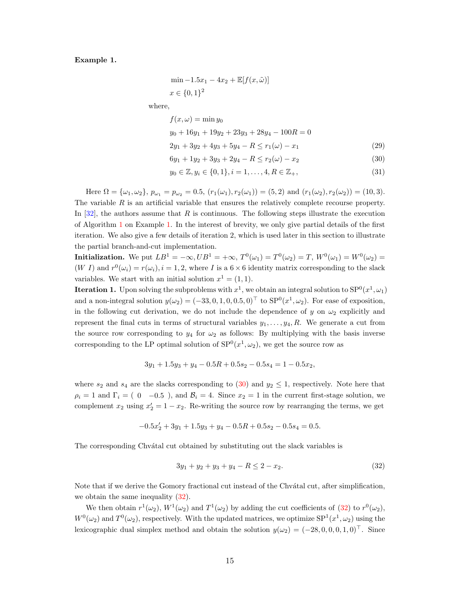<span id="page-14-0"></span>Example 1.

$$
\min -1.5x_1 - 4x_2 + \mathbb{E}[f(x, \tilde{\omega})]
$$
  

$$
x \in \{0, 1\}^2
$$

where,

$$
f(x, \omega) = \min y_0
$$
  
\n
$$
y_0 + 16y_1 + 19y_2 + 23y_3 + 28y_4 - 100R = 0
$$
  
\n
$$
2y_1 + 3y_2 + 4y_3 + 5y_4 - R \le r_1(\omega) - x_1
$$
\n(29)

<span id="page-14-4"></span><span id="page-14-3"></span><span id="page-14-1"></span>
$$
6y_1 + 1y_2 + 3y_3 + 2y_4 - R \le r_2(\omega) - x_2 \tag{30}
$$

$$
y_0 \in \mathbb{Z}, y_i \in \{0, 1\}, i = 1, \dots, 4, R \in \mathbb{Z}_+, \tag{31}
$$

Here  $\Omega = {\omega_1, \omega_2}, p_{\omega_1} = p_{\omega_2} = 0.5, (r_1(\omega_1), r_2(\omega_1)) = (5, 2)$  and  $(r_1(\omega_2), r_2(\omega_2)) = (10, 3)$ . The variable  $R$  is an artificial variable that ensures the relatively complete recourse property. In  $[32]$ , the authors assume that R is continuous. The following steps illustrate the execution of Algorithm [1](#page-8-1) on Example [1.](#page-14-0) In the interest of brevity, we only give partial details of the first iteration. We also give a few details of iteration 2, which is used later in this section to illustrate the partial branch-and-cut implementation.

**Initialization.** We put  $LB^1 = -\infty, UB^1 = +\infty, T^0(\omega_1) = T^0(\omega_2) = T, W^0(\omega_1) = W^0(\omega_2) = T$  $(W I)$  and  $r^{0}(\omega_{i}) = r(\omega_{i}), i = 1, 2$ , where I is a  $6 \times 6$  identity matrix corresponding to the slack variables. We start with an initial solution  $x^1 = (1, 1)$ .

**Iteration 1.** Upon solving the subproblems with  $x^1$ , we obtain an integral solution to  $SP^0(x^1, \omega_1)$ and a non-integral solution  $y(\omega_2) = (-33, 0, 1, 0, 0.5, 0)^\top$  to  $SP^0(x^1, \omega_2)$ . For ease of exposition, in the following cut derivation, we do not include the dependence of y on  $\omega_2$  explicitly and represent the final cuts in terms of structural variables  $y_1, \ldots, y_4, R$ . We generate a cut from the source row corresponding to  $y_4$  for  $\omega_2$  as follows: By multiplying with the basis inverse corresponding to the LP optimal solution of  $SP<sup>0</sup>(x<sup>1</sup>, \omega<sub>2</sub>)$ , we get the source row as

$$
3y_1 + 1.5y_3 + y_4 - 0.5R + 0.5s_2 - 0.5s_4 = 1 - 0.5x_2,
$$

where  $s_2$  and  $s_4$  are the slacks corresponding to [\(30\)](#page-14-1) and  $y_2 \leq 1$ , respectively. Note here that  $\rho_i = 1$  and  $\Gamma_i = (0 \quad -0.5)$ , and  $\mathcal{B}_i = 4$ . Since  $x_2 = 1$  in the current first-stage solution, we complement  $x_2$  using  $x_2' = 1 - x_2$ . Re-writing the source row by rearranging the terms, we get

$$
-0.5x_2' + 3y_1 + 1.5y_3 + y_4 - 0.5R + 0.5s_2 - 0.5s_4 = 0.5.
$$

The corresponding Chvátal cut obtained by substituting out the slack variables is

<span id="page-14-2"></span>
$$
3y_1 + y_2 + y_3 + y_4 - R \le 2 - x_2. \tag{32}
$$

Note that if we derive the Gomory fractional cut instead of the Chvatal cut, after simplification, we obtain the same inequality [\(32\)](#page-14-2).

We then obtain  $r^1(\omega_2)$ ,  $W^1(\omega_2)$  and  $T^1(\omega_2)$  by adding the cut coefficients of [\(32\)](#page-14-2) to  $r^0(\omega_2)$ ,  $W^0(\omega_2)$  and  $T^0(\omega_2)$ , respectively. With the updated matrices, we optimize  $SP^1(x^1, \omega_2)$  using the lexicographic dual simplex method and obtain the solution  $y(\omega_2) = (-28, 0, 0, 0, 1, 0)^\top$ . Since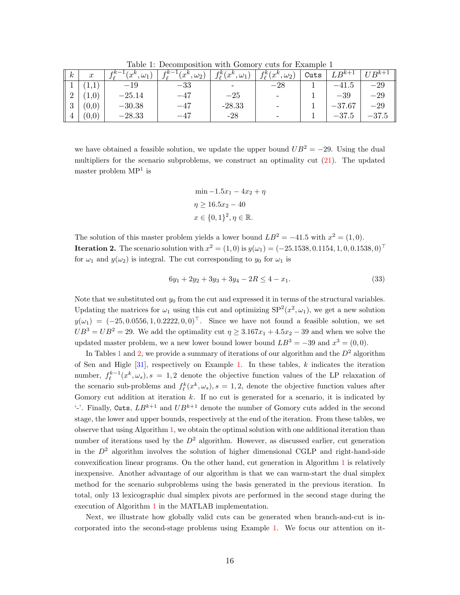<span id="page-15-0"></span>

| $-0.000$ $-0.01$ $-0.000$ |                  |                                                 |                                           |                             |                                             |      |           |             |  |  |
|---------------------------|------------------|-------------------------------------------------|-------------------------------------------|-----------------------------|---------------------------------------------|------|-----------|-------------|--|--|
| $\kappa$                  | $\boldsymbol{x}$ | $R^{\kappa-1}$<br>$(x^k, \omega_1)$<br><u>д</u> | $fk-1/$<br>$x^k$<br>$^{\circ}, \omega_2)$ | $f_{\ell}^k(x^k, \omega_1)$ | $f_{\ell}^k(x^k)$<br>$^{\circ}, \omega_2$ , | Cuts | $I\,Dk+1$ | $IIR^{k+1}$ |  |  |
|                           | <b>LAL</b>       | -19                                             | $-33$                                     |                             | $-28\,$                                     |      | $-41.5$   | $-29$       |  |  |
|                           | 1,0              | $-25.14$                                        | –47                                       | $-25$                       |                                             |      | $-39$     | $-29$       |  |  |
| $\mathbf{Q}$<br>್         | (0,0)            | $-30.38$                                        | -47                                       | $-28.33$                    |                                             |      | $-37.67$  | $-29\,$     |  |  |
| $\overline{4}$            | (0,0)            | $-28.33$                                        | -47                                       | $-28$                       |                                             |      | $-37.5$   | –37.5       |  |  |

Table 1: Decomposition with Gomory cuts for Example 1

we have obtained a feasible solution, we update the upper bound  $UB^2 = -29$ . Using the dual multipliers for the scenario subproblems, we construct an optimality cut [\(21\)](#page-7-0). The updated master problem MP<sup>1</sup> is

$$
\min -1.5x_1 - 4x_2 + \eta
$$
  
\n
$$
\eta \ge 16.5x_2 - 40
$$
  
\n
$$
x \in \{0, 1\}^2, \eta \in \mathbb{R}.
$$

The solution of this master problem yields a lower bound  $LB^2 = -41.5$  with  $x^2 = (1,0)$ . **Iteration 2.** The scenario solution with  $x^2 = (1,0)$  is  $y(\omega_1) = (-25.1538, 0.1154, 1, 0, 0.1538, 0)^{\top}$ for  $\omega_1$  and  $y(\omega_2)$  is integral. The cut corresponding to  $y_0$  for  $\omega_1$  is

<span id="page-15-1"></span>
$$
6y_1 + 2y_2 + 3y_3 + 3y_4 - 2R \le 4 - x_1. \tag{33}
$$

Note that we substituted out  $y_0$  from the cut and expressed it in terms of the structural variables. Updating the matrices for  $\omega_1$  using this cut and optimizing  $SP^2(x^2, \omega_1)$ , we get a new solution  $y(\omega_1) = (-25, 0.0556, 1, 0.2222, 0, 0)^\top$ . Since we have not found a feasible solution, we set  $UB^3 = UB^2 = 29$ . We add the optimality cut  $\eta \geq 3.167x_1 + 4.5x_2 - 39$  and when we solve the updated master problem, we a new lower bound lower bound  $LB^3 = -39$  and  $x^3 = (0,0)$ .

In Tables [1](#page-15-0) and [2,](#page-16-0) we provide a summary of iterations of our algorithm and the  $D^2$  algorithm of Sen and Higle  $[31]$ , respectively on Example [1.](#page-14-0) In these tables, k indicates the iteration number,  $f_{\ell}^{k-1}(x^k,\omega_s)$ ,  $s = 1,2$  denote the objective function values of the LP relaxation of the scenario sub-problems and  $f_{\ell}^{k}(x^{k}, \omega_{s}), s = 1, 2$ , denote the objective function values after Gomory cut addition at iteration  $k$ . If no cut is generated for a scenario, it is indicated by '-'. Finally, Cuts,  $LB^{k+1}$  and  $UB^{k+1}$  denote the number of Gomory cuts added in the second stage, the lower and upper bounds, respectively at the end of the iteration. From these tables, we observe that using Algorithm [1,](#page-8-1) we obtain the optimal solution with one additional iteration than number of iterations used by the  $D<sup>2</sup>$  algorithm. However, as discussed earlier, cut generation in the  $D^2$  algorithm involves the solution of higher dimensional CGLP and right-hand-side convexification linear programs. On the other hand, cut generation in Algorithm [1](#page-8-1) is relatively inexpensive. Another advantage of our algorithm is that we can warm-start the dual simplex method for the scenario subproblems using the basis generated in the previous iteration. In total, only 13 lexicographic dual simplex pivots are performed in the second stage during the execution of Algorithm [1](#page-8-1) in the MATLAB implementation.

Next, we illustrate how globally valid cuts can be generated when branch-and-cut is incorporated into the second-stage problems using Example [1.](#page-14-0) We focus our attention on it-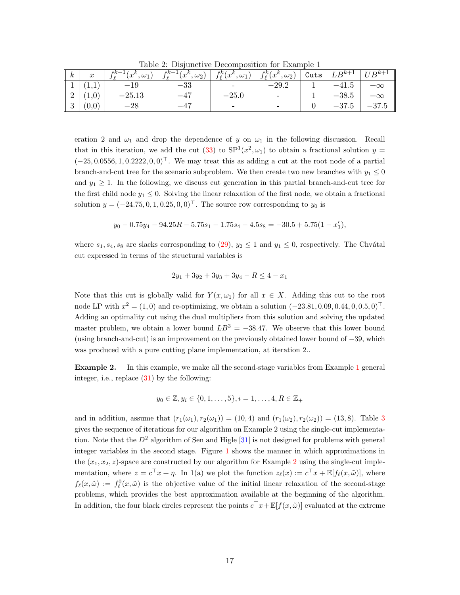<span id="page-16-0"></span>

| $\kappa$  |             |          | $f_{\ell}^{k-1}(x^k,\omega_1)   f_{\ell}^{k-1}(x^k,\omega_2)   f_{\ell}^k(x^k,\omega_1)   f_{\ell}^k(x^k,\omega_2)$ |         |         | ∣ Cuts <sup>∣</sup> | $\perp LB^{k+1}$ . | $UB^{k+1}$ |  |  |  |
|-----------|-------------|----------|---------------------------------------------------------------------------------------------------------------------|---------|---------|---------------------|--------------------|------------|--|--|--|
|           | <b>Time</b> | $-19$    | $-33$                                                                                                               |         | $-29.2$ |                     | $-41.5$            |            |  |  |  |
|           | (1,0)       | $-25.13$ | -47                                                                                                                 | $-25.0$ | -       |                     | $-38.5$            | $+\infty$  |  |  |  |
| $\perp 3$ | (0,0)       | $-28$    |                                                                                                                     | -       | -       |                     | $-37.5$            | $-37.5$    |  |  |  |

Table 2: Disjunctive Decomposition for Example 1

eration 2 and  $\omega_1$  and drop the dependence of y on  $\omega_1$  in the following discussion. Recall that in this iteration, we add the cut [\(33\)](#page-15-1) to  $SP<sup>1</sup>(x<sup>2</sup>, \omega_1)$  to obtain a fractional solution  $y =$  $(-25, 0.0556, 1, 0.2222, 0, 0)$ <sup>T</sup>. We may treat this as adding a cut at the root node of a partial branch-and-cut tree for the scenario subproblem. We then create two new branches with  $y_1 \leq 0$ and  $y_1 \geq 1$ . In the following, we discuss cut generation in this partial branch-and-cut tree for the first child node  $y_1 \leq 0$ . Solving the linear relaxation of the first node, we obtain a fractional solution  $y = (-24.75, 0, 1, 0.25, 0, 0)^\top$ . The source row corresponding to  $y_0$  is

$$
y_0 - 0.75y_4 - 94.25R - 5.75s_1 - 1.75s_4 - 4.5s_8 = -30.5 + 5.75(1 - x_1'),
$$

where  $s_1, s_4, s_8$  are slacks corresponding to [\(29\)](#page-14-3),  $y_2 \le 1$  and  $y_1 \le 0$ , respectively. The Chvátal cut expressed in terms of the structural variables is

$$
2y_1 + 3y_2 + 3y_3 + 3y_4 - R \le 4 - x_1
$$

Note that this cut is globally valid for  $Y(x, \omega_1)$  for all  $x \in X$ . Adding this cut to the root node LP with  $x^2 = (1,0)$  and re-optimizing, we obtain a solution  $(-23.81, 0.09, 0.44, 0, 0.5, 0)^\top$ . Adding an optimality cut using the dual multipliers from this solution and solving the updated master problem, we obtain a lower bound  $LB^3 = -38.47$ . We observe that this lower bound (using branch-and-cut) is an improvement on the previously obtained lower bound of −39, which was produced with a pure cutting plane implementation, at iteration 2..

<span id="page-16-1"></span>Example 2. In this example, we make all the second-stage variables from Example [1](#page-14-0) general integer, i.e., replace [\(31\)](#page-14-4) by the following:

$$
y_0 \in \mathbb{Z}, y_i \in \{0, 1, \ldots, 5\}, i = 1, \ldots, 4, R \in \mathbb{Z}_+
$$

and in addition, assume that  $(r_1(\omega_1), r_2(\omega_1)) = (10, 4)$  and  $(r_1(\omega_2), r_2(\omega_2)) = (13, 8)$  $(r_1(\omega_2), r_2(\omega_2)) = (13, 8)$  $(r_1(\omega_2), r_2(\omega_2)) = (13, 8)$ . Table 3 gives the sequence of iterations for our algorithm on Example 2 using the single-cut implementation. Note that the  $D^2$  algorithm of Sen and Higle [\[31\]](#page-24-1) is not designed for problems with general integer variables in the second stage. Figure [1](#page-18-0) shows the manner in which approximations in the  $(x_1, x_2, z)$  $(x_1, x_2, z)$  $(x_1, x_2, z)$ -space are constructed by our algorithm for Example 2 using the single-cut implementation, where  $z = c^{\top}x + \eta$ . In 1(a) we plot the function  $z_{\ell}(x) := c^{\top}x + \mathbb{E}[f_{\ell}(x,\tilde{\omega})]$ , where  $f_{\ell}(x,\tilde{\omega}) := f_{\ell}^{0}(x,\tilde{\omega})$  is the objective value of the initial linear relaxation of the second-stage problems, which provides the best approximation available at the beginning of the algorithm. In addition, the four black circles represent the points  $c^{\top} x + \mathbb{E}[f(x, \tilde{\omega})]$  evaluated at the extreme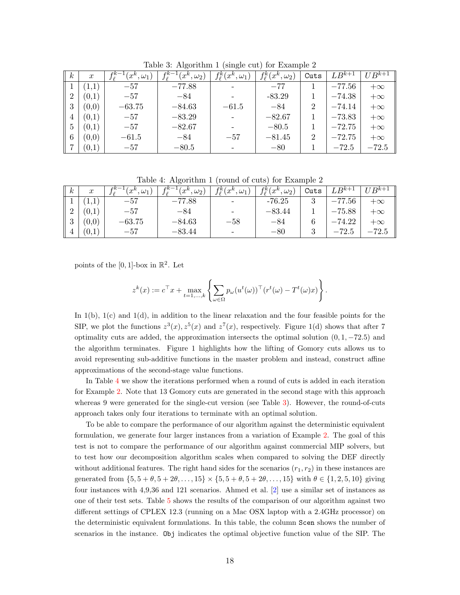<span id="page-17-0"></span>

| $\kappa$       | $\boldsymbol{x}$ | $fk-1$<br>$x^k$<br>$^{\prime},\omega_1$ ) | $fk-1$<br>$x^k$<br>$^{\prime},\omega_2$ ) | $f_\ell^k($<br>$(x^k, \omega_1)$ | $f_{\ell}^k(x^k, \omega_2)$ | Cuts | $LB^{k+1}$ | $UB^{k+1}$ |
|----------------|------------------|-------------------------------------------|-------------------------------------------|----------------------------------|-----------------------------|------|------------|------------|
|                | 1,1)             | $-57$                                     | $-77.88$                                  |                                  | $-77$                       |      | $-77.56$   | $+\infty$  |
| $\overline{2}$ | (0,1)            | $-57$                                     | $-84$                                     |                                  | $-83.29$                    |      | $-74.38$   | $+\infty$  |
| 3              | (0,0)            | $-63.75$                                  | $-84.63$                                  | $-61.5$                          | $-84$                       | 2    | $-74.14$   | $+\infty$  |
| 4              | (0,1)            | $-57$                                     | $-83.29$                                  |                                  | $-82.67$                    |      | $-73.83$   | $+\infty$  |
| 5              | (0,1)            | $-57$                                     | $-82.67$                                  |                                  | $-80.5$                     |      | $-72.75$   | $+\infty$  |
| 6              | (0, 0)           | $-61.5$                                   | $-84$                                     | $-57$                            | $-81.45$                    | 2    | $-72.75$   | $+\infty$  |
|                | (0,1)            | $-57$                                     | $-80.5$                                   |                                  | $-80$                       |      | $-72.5$    | $-72.5$    |

Table 3: Algorithm 1 (single cut) for Example 2

Table 4: Algorithm 1 (round of cuts) for Example 2

<span id="page-17-1"></span>

| $\kappa$          | $\boldsymbol{x}$ | $fk-1/$<br>$x^k$<br>$^{\prime},\omega_1^{}$ | $fk-1/$<br>$(x^k,\omega_2)$ | $f_{\ell}^k(x^k,\omega_1)$ | $f_{\ell}^k(x^k,\omega_2)$ | Cuts | $LB^{k+1}$ | $U B^{k+1}$ |
|-------------------|------------------|---------------------------------------------|-----------------------------|----------------------------|----------------------------|------|------------|-------------|
|                   | <b>L.L</b>       | $-57$                                       | $-77.88$                    |                            | $-76.25$                   | ◡    | $-77.56$   | $+\infty$   |
| $\Omega$          | (0,1)            | $-57$                                       | $-84$                       |                            | $-83.44$                   |      | $-75.88$   | $+\infty$   |
| $\mathbf{Q}$<br>◡ | (0,0)            | $-63.75$                                    | $-84.63$                    | $-58$                      | $-84$                      | O    | $-74.22$   | $+\infty$   |
| $\overline{4}$    | (0,1)            | $-57$                                       | $-83.44$                    |                            | $-80$                      |      | $-72.5$    | $-72.5$     |

points of the  $[0, 1]$ -box in  $\mathbb{R}^2$ . Let

$$
z^{k}(x) := c^{\top}x + \max_{t=1,\ldots,k}\left\{\sum_{\omega \in \Omega} p_{\omega}(u^{t}(\omega))^{\top}(r^{t}(\omega) - T^{t}(\omega)x)\right\}.
$$

In  $1(b)$ ,  $1(c)$  and  $1(d)$ , in addition to the linear relaxation and the four feasible points for the SIP, we plot the functions  $z^3(x)$ ,  $z^5(x)$  and  $z^7(x)$ , respectively. Figure 1(d) shows that after 7 optimality cuts are added, the approximation intersects the optimal solution  $(0, 1, -72.5)$  and the algorithm terminates. Figure 1 highlights how the lifting of Gomory cuts allows us to avoid representing sub-additive functions in the master problem and instead, construct affine approximations of the second-stage value functions.

In Table [4](#page-17-1) we show the iterations performed when a round of cuts is added in each iteration for Example [2.](#page-16-1) Note that 13 Gomory cuts are generated in the second stage with this approach whereas 9 were generated for the single-cut version (see Table [3\)](#page-17-0). However, the round-of-cuts approach takes only four iterations to terminate with an optimal solution.

To be able to compare the performance of our algorithm against the deterministic equivalent formulation, we generate four larger instances from a variation of Example [2.](#page-16-1) The goal of this test is not to compare the performance of our algorithm against commercial MIP solvers, but to test how our decomposition algorithm scales when compared to solving the DEF directly without additional features. The right hand sides for the scenarios  $(r_1, r_2)$  in these instances are generated from  $\{5, 5 + \theta, 5 + 2\theta, \ldots, 15\} \times \{5, 5 + \theta, 5 + 2\theta, \ldots, 15\}$  with  $\theta \in \{1, 2, 5, 10\}$  giving four instances with 4,9,36 and 121 scenarios. Ahmed et al. [\[2\]](#page-22-3) use a similar set of instances as one of their test sets. Table [5](#page-19-0) shows the results of the comparison of our algorithm against two different settings of CPLEX 12.3 (running on a Mac OSX laptop with a 2.4GHz processor) on the deterministic equivalent formulations. In this table, the column Scen shows the number of scenarios in the instance. Obj indicates the optimal objective function value of the SIP. The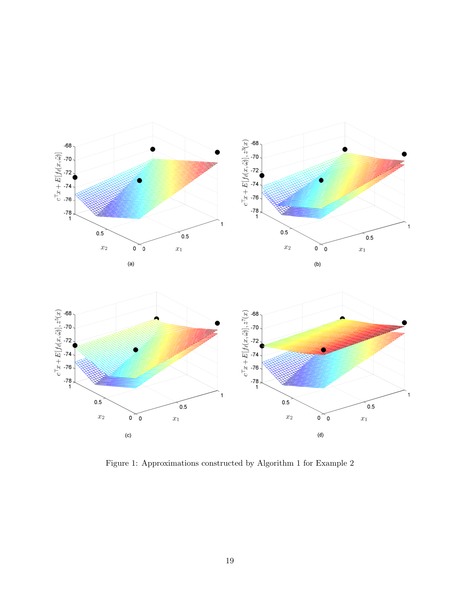

<span id="page-18-0"></span>Figure 1: Approximations constructed by Algorithm 1 for Example 2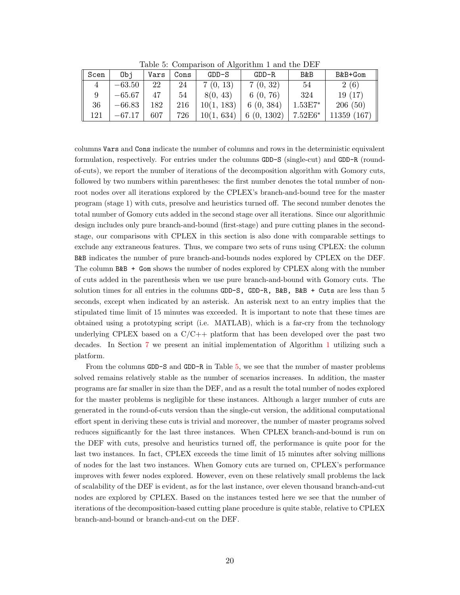<span id="page-19-0"></span>

| Scen | Obi      | Vars | Cons | rapic 9. Comparison or migorialini i and the DLI<br>$GDD-S$ | $GDD-R$    | B&B       | $B&B+Com$   |
|------|----------|------|------|-------------------------------------------------------------|------------|-----------|-------------|
| 4    | $-63.50$ | 22   | 24   | 7(0, 13)                                                    | 7(0, 32)   | 54        | 2(6)        |
| 9    | $-65.67$ |      | 54   | 8(0, 43)                                                    | 6(0, 76)   | 324       | 19(17)      |
| 36   | $-66.83$ | 182  | 216  | 10(1, 183)                                                  | 6(0, 384)  | $1.53E7*$ | 206(50)     |
| 121  | $-67.17$ | 607  | 726  | 10(1, 634)                                                  | 6(0, 1302) | $7.52E6*$ | 11359 (167) |

Table 5: Comparison of Algorithm 1 and the DEF

columns Vars and Cons indicate the number of columns and rows in the deterministic equivalent formulation, respectively. For entries under the columns GDD-S (single-cut) and GDD-R (roundof-cuts), we report the number of iterations of the decomposition algorithm with Gomory cuts, followed by two numbers within parentheses: the first number denotes the total number of nonroot nodes over all iterations explored by the CPLEX's branch-and-bound tree for the master program (stage 1) with cuts, presolve and heuristics turned off. The second number denotes the total number of Gomory cuts added in the second stage over all iterations. Since our algorithmic design includes only pure branch-and-bound (first-stage) and pure cutting planes in the secondstage, our comparisons with CPLEX in this section is also done with comparable settings to exclude any extraneous features. Thus, we compare two sets of runs using CPLEX: the column B&B indicates the number of pure branch-and-bounds nodes explored by CPLEX on the DEF. The column B&B + Gom shows the number of nodes explored by CPLEX along with the number of cuts added in the parenthesis when we use pure branch-and-bound with Gomory cuts. The solution times for all entries in the columns GDD-S, GDD-R, B&B, B&B + Cuts are less than 5 seconds, except when indicated by an asterisk. An asterisk next to an entry implies that the stipulated time limit of 15 minutes was exceeded. It is important to note that these times are obtained using a prototyping script (i.e. MATLAB), which is a far-cry from the technology underlying CPLEX based on a  $C/C++$  platform that has been developed over the past two decades. In Section [7](#page-20-0) we present an initial implementation of Algorithm [1](#page-8-1) utilizing such a platform.

From the columns GDD-S and GDD-R in Table [5,](#page-19-0) we see that the number of master problems solved remains relatively stable as the number of scenarios increases. In addition, the master programs are far smaller in size than the DEF, and as a result the total number of nodes explored for the master problems is negligible for these instances. Although a larger number of cuts are generated in the round-of-cuts version than the single-cut version, the additional computational effort spent in deriving these cuts is trivial and moreover, the number of master programs solved reduces significantly for the last three instances. When CPLEX branch-and-bound is run on the DEF with cuts, presolve and heuristics turned off, the performance is quite poor for the last two instances. In fact, CPLEX exceeds the time limit of 15 minutes after solving millions of nodes for the last two instances. When Gomory cuts are turned on, CPLEX's performance improves with fewer nodes explored. However, even on these relatively small problems the lack of scalability of the DEF is evident, as for the last instance, over eleven thousand branch-and-cut nodes are explored by CPLEX. Based on the instances tested here we see that the number of iterations of the decomposition-based cutting plane procedure is quite stable, relative to CPLEX branch-and-bound or branch-and-cut on the DEF.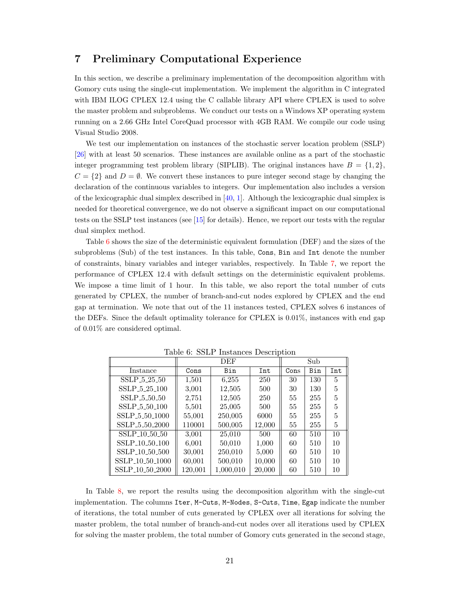# <span id="page-20-0"></span>7 Preliminary Computational Experience

In this section, we describe a preliminary implementation of the decomposition algorithm with Gomory cuts using the single-cut implementation. We implement the algorithm in C integrated with IBM ILOG CPLEX 12.4 using the C callable library API where CPLEX is used to solve the master problem and subproblems. We conduct our tests on a Windows XP operating system running on a 2.66 GHz Intel CoreQuad processor with 4GB RAM. We compile our code using Visual Studio 2008.

We test our implementation on instances of the stochastic server location problem (SSLP) [\[26\]](#page-24-6) with at least 50 scenarios. These instances are available online as a part of the stochastic integer programming test problem library (SIPLIB). The original instances have  $B = \{1, 2\}$ ,  $C = \{2\}$  and  $D = \emptyset$ . We convert these instances to pure integer second stage by changing the declaration of the continuous variables to integers. Our implementation also includes a version of the lexicographic dual simplex described in  $[40, 1]$  $[40, 1]$ . Although the lexicographic dual simplex is needed for theoretical convergence, we do not observe a significant impact on our computational tests on the SSLP test instances (see [\[15\]](#page-23-15) for details). Hence, we report our tests with the regular dual simplex method.

Table [6](#page-20-1) shows the size of the deterministic equivalent formulation (DEF) and the sizes of the subproblems (Sub) of the test instances. In this table, Cons, Bin and Int denote the number of constraints, binary variables and integer variables, respectively. In Table [7,](#page-21-0) we report the performance of CPLEX 12.4 with default settings on the deterministic equivalent problems. We impose a time limit of 1 hour. In this table, we also report the total number of cuts generated by CPLEX, the number of branch-and-cut nodes explored by CPLEX and the end gap at termination. We note that out of the 11 instances tested, CPLEX solves 6 instances of the DEFs. Since the default optimality tolerance for CPLEX is 0.01%, instances with end gap of 0.01% are considered optimal.

<span id="page-20-1"></span>

|                             | DEF     |           |        | Sub  |     |     |
|-----------------------------|---------|-----------|--------|------|-----|-----|
| Instance                    | Cons    | Bin       | Int    | Cons | Bin | Int |
| $SSLP_525_50$               | 1,501   | 6,255     | 250    | 30   | 130 | 5   |
| SSLP <sub>-5-25-100</sub>   | 3,001   | 12,505    | 500    | 30   | 130 | 5   |
| SSLP 5 50 50                | 2,751   | 12,505    | 250    | 55   | 255 | 5   |
| SSLP <sub>-5-50-100</sub>   | 5,501   | 25,005    | 500    | 55   | 255 | 5   |
| SSLP <sub>-5-50-1000</sub>  | 55,001  | 250,005   | 6000   | 55   | 255 | 5   |
| SSLP <sub>-5-50-2000</sub>  | 110001  | 500,005   | 12,000 | 55   | 255 | 5   |
| SSLP <sub>-10-50-50</sub>   | 3,001   | 25,010    | 500    | 60   | 510 | 10  |
| SSLP <sub>-10-50-100</sub>  | 6,001   | 50,010    | 1,000  | 60   | 510 | 10  |
| SSLP <sub>-10-50-500</sub>  | 30,001  | 250,010   | 5,000  | 60   | 510 | 10  |
| SSLP <sub>-10-50-1000</sub> | 60,001  | 500,010   | 10,000 | 60   | 510 | 10  |
| SSLP <sub>-10-50-2000</sub> | 120,001 | 1,000,010 | 20,000 | 60   | 510 | 10  |

Table 6: SSLP Instances Description

In Table [8,](#page-21-1) we report the results using the decomposition algorithm with the single-cut implementation. The columns Iter, M-Cuts, M-Nodes, S-Cuts, Time, Egap indicate the number of iterations, the total number of cuts generated by CPLEX over all iterations for solving the master problem, the total number of branch-and-cut nodes over all iterations used by CPLEX for solving the master problem, the total number of Gomory cuts generated in the second stage,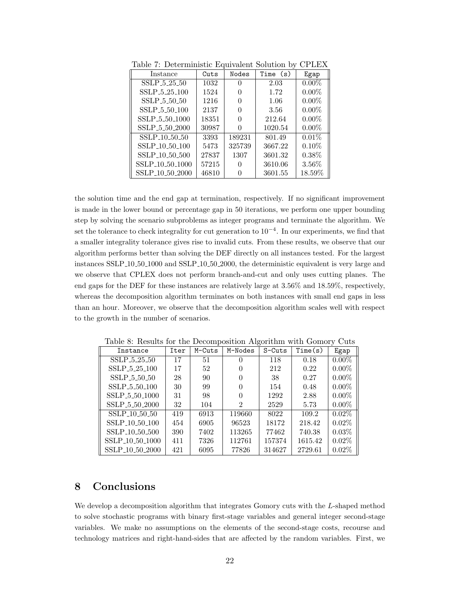<span id="page-21-0"></span>

| Instance                    | Cuts  | Nodes  | Time (s) | Egap      |
|-----------------------------|-------|--------|----------|-----------|
| $SSLP_5_25_50$              | 1032  |        | 2.03     | $0.00\%$  |
| SSLP 5 25 100               | 1524  |        | 1.72     | $0.00\%$  |
| $SSLP_55050$                | 1216  |        | 1.06     | $0.00\%$  |
| SSLP 5 50 100               | 2137  |        | 3.56     | $0.00\%$  |
| SSLP_5_50_1000              | 18351 |        | 212.64   | $0.00\%$  |
| SSLP <sub>-5-50-2000</sub>  | 30987 |        | 1020.54  | $0.00\%$  |
| SSLP <sub>-10-50-50</sub>   | 3393  | 189231 | 801.49   | 0.01%     |
| SSLP <sub>-10-50-100</sub>  | 5473  | 325739 | 3667.22  | $0.10\%$  |
| SSLP <sub>-10-50-500</sub>  | 27837 | 1307   | 3601.32  | $0.38\%$  |
| SSLP <sub>-10-50-1000</sub> | 57215 |        | 3610.06  | $3.56\%$  |
| SSLP <sub>-10-50-2000</sub> | 46810 |        | 3601.55  | $18.59\%$ |

Table 7: Deterministic Equivalent Solution by CPLEX

the solution time and the end gap at termination, respectively. If no significant improvement is made in the lower bound or percentage gap in 50 iterations, we perform one upper bounding step by solving the scenario subproblems as integer programs and terminate the algorithm. We set the tolerance to check integrality for cut generation to 10<sup>-4</sup>. In our experiments, we find that a smaller integrality tolerance gives rise to invalid cuts. From these results, we observe that our algorithm performs better than solving the DEF directly on all instances tested. For the largest instances SSLP 10 50 1000 and SSLP 10 50 2000, the deterministic equivalent is very large and we observe that CPLEX does not perform branch-and-cut and only uses cutting planes. The end gaps for the DEF for these instances are relatively large at 3.56% and 18.59%, respectively, whereas the decomposition algorithm terminates on both instances with small end gaps in less than an hour. Moreover, we observe that the decomposition algorithm scales well with respect to the growth in the number of scenarios.

<span id="page-21-1"></span>

| Instance                    | Iter | $M$ – $Cuts$ | M-Nodes  | $S$ -Cuts | Time(s) | Egap     |
|-----------------------------|------|--------------|----------|-----------|---------|----------|
| SSLP <sub>-5-25-50</sub>    | 17   | 51           | $\cup$   | 118       | 0.18    | $0.00\%$ |
| SSLP <sub>-5-25-100</sub>   | 17   | 52           | $\theta$ | 212       | 0.22    | $0.00\%$ |
| SSLP <sub>-5-50-50</sub>    | 28   | 90           | $\theta$ | 38        | 0.27    | $0.00\%$ |
| SSLP <sub>-5-50-100</sub>   | 30   | 99           | $\theta$ | 154       | 0.48    | $0.00\%$ |
| SSLP <sub>-5-50-1000</sub>  | 31   | 98           | $\theta$ | 1292      | 2.88    | $0.00\%$ |
| SSLP <sub>-5-50-2000</sub>  | 32   | 104          | 2        | 2529      | 5.73    | $0.00\%$ |
| SSLP <sub>-10-50-50</sub>   | 419  | 6913         | 119660   | 8022      | 109.2   | $0.02\%$ |
| SSLP <sub>-10-50-100</sub>  | 454  | 6905         | 96523    | 18172     | 218.42  | $0.02\%$ |
| SSLP <sub>-10-50-500</sub>  | 390  | 7402         | 113265   | 77462     | 740.38  | $0.03\%$ |
| SSLP <sub>-10-50-1000</sub> | 411  | 7326         | 112761   | 157374    | 1615.42 | $0.02\%$ |
| SSLP <sub>-10-50-2000</sub> | 421  | 6095         | 77826    | 314627    | 2729.61 | $0.02\%$ |

Table 8: Results for the Decomposition Algorithm with Gomory Cuts

## 8 Conclusions

We develop a decomposition algorithm that integrates Gomory cuts with the L-shaped method to solve stochastic programs with binary first-stage variables and general integer second-stage variables. We make no assumptions on the elements of the second-stage costs, recourse and technology matrices and right-hand-sides that are affected by the random variables. First, we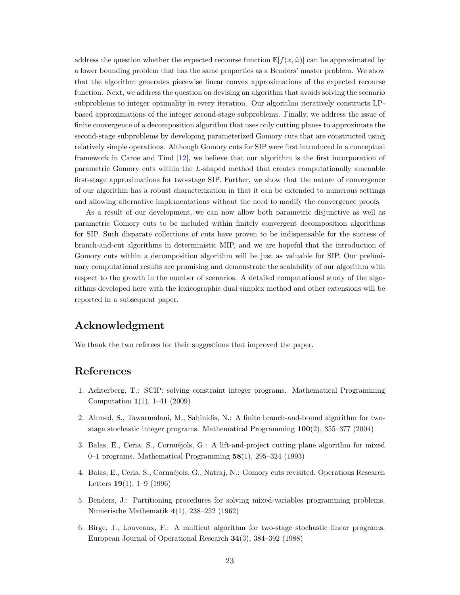address the question whether the expected recourse function  $\mathbb{E}[f(x,\tilde{\omega})]$  can be approximated by a lower bounding problem that has the same properties as a Benders' master problem. We show that the algorithm generates piecewise linear convex approximations of the expected recourse function. Next, we address the question on devising an algorithm that avoids solving the scenario subproblems to integer optimality in every iteration. Our algorithm iteratively constructs LPbased approximations of the integer second-stage subproblems. Finally, we address the issue of finite convergence of a decomposition algorithm that uses only cutting planes to approximate the second-stage subproblems by developing parameterized Gomory cuts that are constructed using relatively simple operations. Although Gomory cuts for SIP were first introduced in a conceptual framework in Carøe and Tind [\[12\]](#page-23-6), we believe that our algorithm is the first incorporation of parametric Gomory cuts within the L-shaped method that creates computationally amenable first-stage approximations for two-stage SIP. Further, we show that the nature of convergence of our algorithm has a robust characterization in that it can be extended to numerous settings and allowing alternative implementations without the need to modify the convergence proofs.

As a result of our development, we can now allow both parametric disjunctive as well as parametric Gomory cuts to be included within finitely convergent decomposition algorithms for SIP. Such disparate collections of cuts have proven to be indispensable for the success of branch-and-cut algorithms in deterministic MIP, and we are hopeful that the introduction of Gomory cuts within a decomposition algorithm will be just as valuable for SIP. Our preliminary computational results are promising and demonstrate the scalability of our algorithm with respect to the growth in the number of scenarios. A detailed computational study of the algorithms developed here with the lexicographic dual simplex method and other extensions will be reported in a subsequent paper.

# Acknowledgment

We thank the two referees for their suggestions that improved the paper.

## References

- <span id="page-22-5"></span>1. Achterberg, T.: SCIP: solving constraint integer programs. Mathematical Programming Computation 1(1), 1–41 (2009)
- <span id="page-22-3"></span>2. Ahmed, S., Tawarmalani, M., Sahinidis, N.: A finite branch-and-bound algorithm for twostage stochastic integer programs. Mathematical Programming 100(2), 355–377 (2004)
- <span id="page-22-2"></span>3. Balas, E., Ceria, S., Cornuéjols, G.: A lift-and-project cutting plane algorithm for mixed 0–1 programs. Mathematical Programming 58(1), 295–324 (1993)
- <span id="page-22-0"></span>4. Balas, E., Ceria, S., Cornuéjols, G., Natraj, N.: Gomory cuts revisited. Operations Research Letters  $19(1)$ ,  $1-9$  (1996)
- <span id="page-22-1"></span>5. Benders, J.: Partitioning procedures for solving mixed-variables programming problems. Numerische Mathematik 4(1), 238–252 (1962)
- <span id="page-22-4"></span>6. Birge, J., Louveaux, F.: A multicut algorithm for two-stage stochastic linear programs. European Journal of Operational Research 34(3), 384–392 (1988)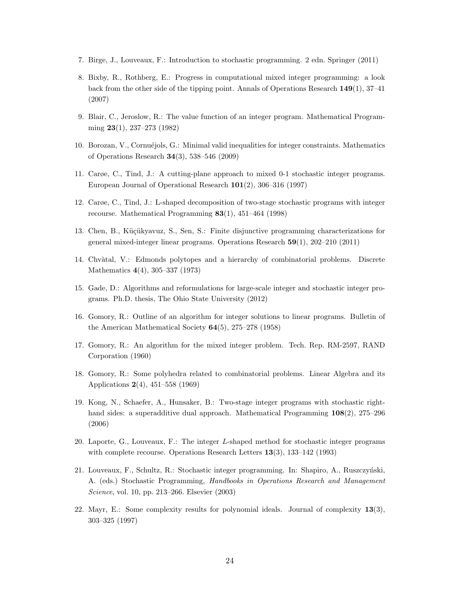- <span id="page-23-8"></span>7. Birge, J., Louveaux, F.: Introduction to stochastic programming. 2 edn. Springer (2011)
- <span id="page-23-2"></span>8. Bixby, R., Rothberg, E.: Progress in computational mixed integer programming: a look back from the other side of the tipping point. Annals of Operations Research 149(1), 37–41 (2007)
- <span id="page-23-7"></span>9. Blair, C., Jeroslow, R.: The value function of an integer program. Mathematical Programming 23(1), 237–273 (1982)
- <span id="page-23-5"></span>10. Borozan, V., Cornuéjols, G.: Minimal valid inequalities for integer constraints. Mathematics of Operations Research 34(3), 538–546 (2009)
- <span id="page-23-11"></span>11. Carøe, C., Tind, J.: A cutting-plane approach to mixed 0-1 stochastic integer programs. European Journal of Operational Research 101(2), 306–316 (1997)
- <span id="page-23-6"></span>12. Carøe, C., Tind, J.: L-shaped decomposition of two-stage stochastic programs with integer recourse. Mathematical Programming 83(1), 451–464 (1998)
- <span id="page-23-14"></span>13. Chen, B., Küçükyavuz, S., Sen, S.: Finite disjunctive programming characterizations for general mixed-integer linear programs. Operations Research 59(1), 202–210 (2011)
- <span id="page-23-3"></span>14. Chv`atal, V.: Edmonds polytopes and a hierarchy of combinatorial problems. Discrete Mathematics 4(4), 305–337 (1973)
- <span id="page-23-15"></span>15. Gade, D.: Algorithms and reformulations for large-scale integer and stochastic integer programs. Ph.D. thesis, The Ohio State University (2012)
- <span id="page-23-0"></span>16. Gomory, R.: Outline of an algorithm for integer solutions to linear programs. Bulletin of the American Mathematical Society  $64(5)$ , 275–278 (1958)
- <span id="page-23-1"></span>17. Gomory, R.: An algorithm for the mixed integer problem. Tech. Rep. RM-2597, RAND Corporation (1960)
- <span id="page-23-4"></span>18. Gomory, R.: Some polyhedra related to combinatorial problems. Linear Algebra and its Applications 2(4), 451–558 (1969)
- <span id="page-23-13"></span>19. Kong, N., Schaefer, A., Hunsaker, B.: Two-stage integer programs with stochastic righthand sides: a superadditive dual approach. Mathematical Programming 108(2), 275–296 (2006)
- <span id="page-23-10"></span>20. Laporte, G., Louveaux, F.: The integer L-shaped method for stochastic integer programs with complete recourse. Operations Research Letters 13(3), 133–142 (1993)
- <span id="page-23-9"></span>21. Louveaux, F., Schultz, R.: Stochastic integer programming. In: Shapiro, A., Ruszczyński, A. (eds.) Stochastic Programming, Handbooks in Operations Research and Management Science, vol. 10, pp. 213–266. Elsevier (2003)
- <span id="page-23-12"></span>22. Mayr, E.: Some complexity results for polynomial ideals. Journal of complexity 13(3), 303–325 (1997)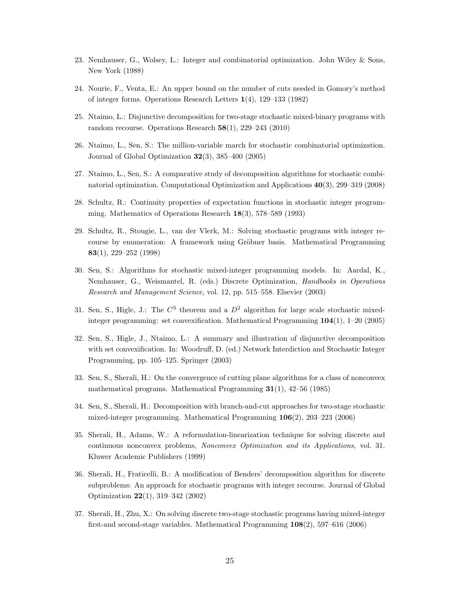- <span id="page-24-11"></span>23. Nemhauser, G., Wolsey, L.: Integer and combinatorial optimization. John Wiley & Sons, New York (1988)
- <span id="page-24-12"></span>24. Nourie, F., Venta, E.: An upper bound on the number of cuts needed in Gomory's method of integer forms. Operations Research Letters 1(4), 129–133 (1982)
- <span id="page-24-8"></span>25. Ntaimo, L.: Disjunctive decomposition for two-stage stochastic mixed-binary programs with random recourse. Operations Research 58(1), 229–243 (2010)
- <span id="page-24-6"></span>26. Ntaimo, L., Sen, S.: The million-variable march for stochastic combinatorial optimization. Journal of Global Optimization  $32(3)$ ,  $385-400$  (2005)
- <span id="page-24-7"></span>27. Ntaimo, L., Sen, S.: A comparative study of decomposition algorithms for stochastic combinatorial optimization. Computational Optimization and Applications 40(3), 299–319 (2008)
- <span id="page-24-2"></span>28. Schultz, R.: Continuity properties of expectation functions in stochastic integer programming. Mathematics of Operations Research 18(3), 578–589 (1993)
- <span id="page-24-10"></span>29. Schultz, R., Stougie, L., van der Vlerk, M.: Solving stochastic programs with integer recourse by enumeration: A framework using Gröbner basis. Mathematical Programming 83(1), 229–252 (1998)
- <span id="page-24-3"></span>30. Sen, S.: Algorithms for stochastic mixed-integer programming models. In: Aardal, K., Nemhauser, G., Weismantel, R. (eds.) Discrete Optimization, Handbooks in Operations Research and Management Science, vol. 12, pp. 515–558. Elsevier (2003)
- <span id="page-24-1"></span>31. Sen, S., Higle, J.: The  $C^3$  theorem and a  $D^2$  algorithm for large scale stochastic mixedinteger programming: set convexification. Mathematical Programming 104(1), 1–20 (2005)
- <span id="page-24-14"></span>32. Sen, S., Higle, J., Ntaimo, L.: A summary and illustration of disjunctive decomposition with set convexification. In: Woodruff, D. (ed.) Network Interdiction and Stochastic Integer Programming, pp. 105–125. Springer (2003)
- <span id="page-24-13"></span>33. Sen, S., Sherali, H.: On the convergence of cutting plane algorithms for a class of nonconvex mathematical programs. Mathematical Programming  $31(1)$ ,  $42-56$  (1985)
- <span id="page-24-5"></span>34. Sen, S., Sherali, H.: Decomposition with branch-and-cut approaches for two-stage stochastic mixed-integer programming. Mathematical Programming 106(2), 203–223 (2006)
- <span id="page-24-4"></span>35. Sherali, H., Adams, W.: A reformulation-linearization technique for solving discrete and continuous nonconvex problems, Nonconvex Optimization and its Applications, vol. 31. Kluwer Academic Publishers (1999)
- <span id="page-24-0"></span>36. Sherali, H., Fraticelli, B.: A modification of Benders' decomposition algorithm for discrete subproblems: An approach for stochastic programs with integer recourse. Journal of Global Optimization 22(1), 319–342 (2002)
- <span id="page-24-9"></span>37. Sherali, H., Zhu, X.: On solving discrete two-stage stochastic programs having mixed-integer first-and second-stage variables. Mathematical Programming 108(2), 597–616 (2006)